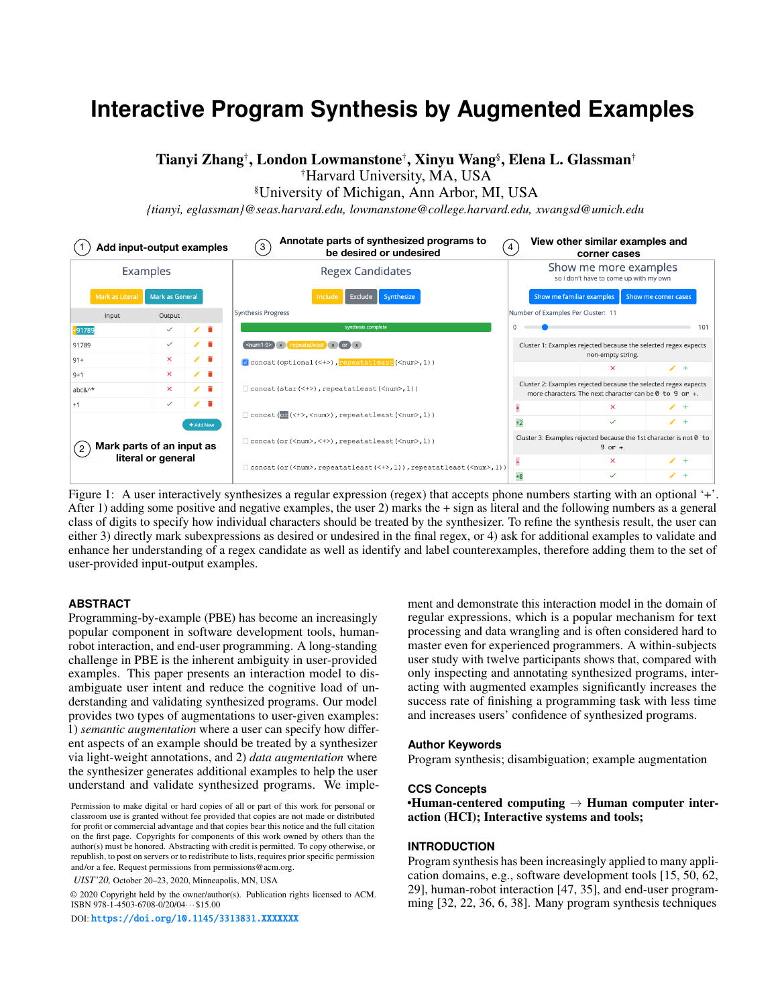# **Interactive Program Synthesis by Augmented Examples**

# Tianyi Zhang† , London Lowmanstone† , Xinyu Wang§ , Elena L. Glassman†

†Harvard University, MA, USA

§University of Michigan, Ann Arbor, MI, USA

*{tianyi, eglassman}@seas.harvard.edu, lowmanstone@college.harvard.edu, xwangsd@umich.edu*



Figure 1: A user interactively synthesizes a regular expression (regex) that accepts phone numbers starting with an optional '+'. After 1) adding some positive and negative examples, the user 2) marks the + sign as literal and the following numbers as a general class of digits to specify how individual characters should be treated by the synthesizer. To refine the synthesis result, the user can either 3) directly mark subexpressions as desired or undesired in the final regex, or 4) ask for additional examples to validate and enhance her understanding of a regex candidate as well as identify and label counterexamples, therefore adding them to the set of user-provided input-output examples.

### **ABSTRACT**

Programming-by-example (PBE) has become an increasingly popular component in software development tools, humanrobot interaction, and end-user programming. A long-standing challenge in PBE is the inherent ambiguity in user-provided examples. This paper presents an interaction model to disambiguate user intent and reduce the cognitive load of understanding and validating synthesized programs. Our model provides two types of augmentations to user-given examples: 1) *semantic augmentation* where a user can specify how different aspects of an example should be treated by a synthesizer via light-weight annotations, and 2) *data augmentation* where the synthesizer generates additional examples to help the user understand and validate synthesized programs. We imple-

*UIST'20,* October 20–23, 2020, Minneapolis, MN, USA

© 2020 Copyright held by the owner/author(s). Publication rights licensed to ACM. ISBN 978-1-4503-6708-0/20/04···\$15.00

DOI: <https://doi.org/10.1145/3313831.XXXXXXX>

ment and demonstrate this interaction model in the domain of regular expressions, which is a popular mechanism for text processing and data wrangling and is often considered hard to master even for experienced programmers. A within-subjects user study with twelve participants shows that, compared with only inspecting and annotating synthesized programs, interacting with augmented examples significantly increases the success rate of finishing a programming task with less time and increases users' confidence of synthesized programs.

#### **Author Keywords**

Program synthesis; disambiguation; example augmentation

#### **CCS Concepts**

•Human-centered computing  $\rightarrow$  Human computer interaction (HCI); Interactive systems and tools;

#### **INTRODUCTION**

Program synthesis has been increasingly applied to many application domains, e.g., software development tools [\[15,](#page-12-0) [50,](#page-13-0) [62,](#page-13-1) [29\]](#page-12-1), human-robot interaction [\[47,](#page-13-2) [35\]](#page-12-2), and end-user programming [\[32,](#page-12-3) [22,](#page-12-4) [36,](#page-12-5) [6,](#page-11-0) [38\]](#page-12-6). Many program synthesis techniques

Permission to make digital or hard copies of all or part of this work for personal or classroom use is granted without fee provided that copies are not made or distributed for profit or commercial advantage and that copies bear this notice and the full citation on the first page. Copyrights for components of this work owned by others than the author(s) must be honored. Abstracting with credit is permitted. To copy otherwise, or republish, to post on servers or to redistribute to lists, requires prior specific permission and/or a fee. Request permissions from permissions@acm.org.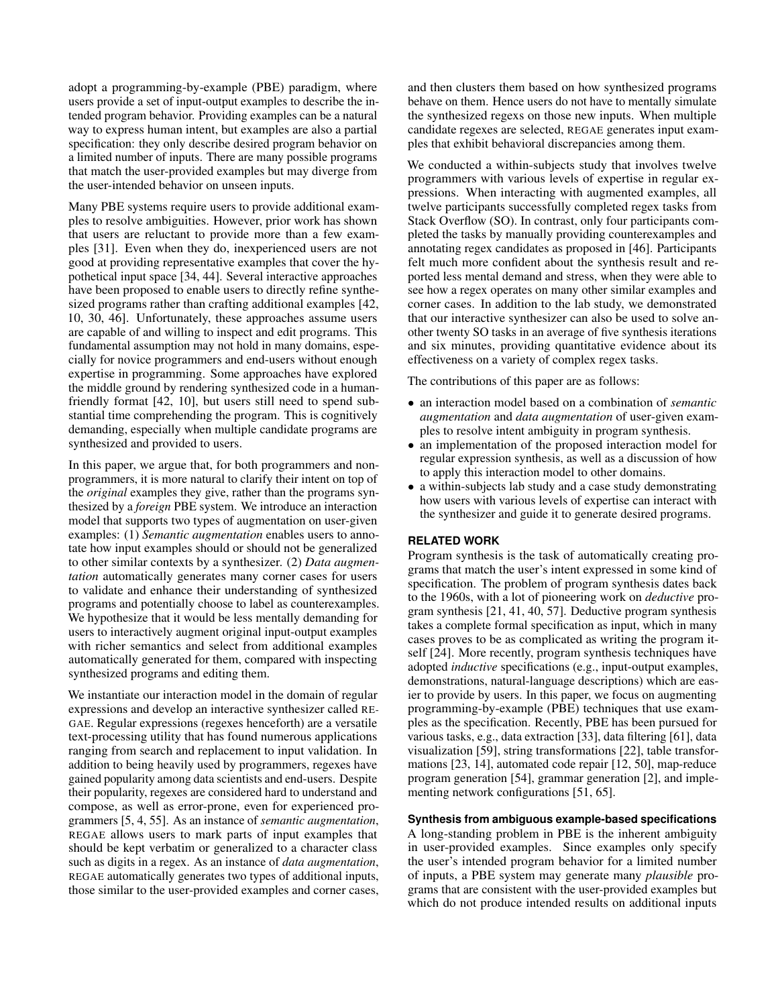adopt a programming-by-example (PBE) paradigm, where users provide a set of input-output examples to describe the intended program behavior. Providing examples can be a natural way to express human intent, but examples are also a partial specification: they only describe desired program behavior on a limited number of inputs. There are many possible programs that match the user-provided examples but may diverge from the user-intended behavior on unseen inputs.

Many PBE systems require users to provide additional examples to resolve ambiguities. However, prior work has shown that users are reluctant to provide more than a few examples [\[31\]](#page-12-7). Even when they do, inexperienced users are not good at providing representative examples that cover the hypothetical input space [\[34,](#page-12-8) [44\]](#page-13-3). Several interactive approaches have been proposed to enable users to directly refine synthesized programs rather than crafting additional examples [\[42,](#page-13-4) [10,](#page-11-1) [30,](#page-12-9) [46\]](#page-13-5). Unfortunately, these approaches assume users are capable of and willing to inspect and edit programs. This fundamental assumption may not hold in many domains, especially for novice programmers and end-users without enough expertise in programming. Some approaches have explored the middle ground by rendering synthesized code in a humanfriendly format [\[42,](#page-13-4) [10\]](#page-11-1), but users still need to spend substantial time comprehending the program. This is cognitively demanding, especially when multiple candidate programs are synthesized and provided to users.

In this paper, we argue that, for both programmers and nonprogrammers, it is more natural to clarify their intent on top of the *original* examples they give, rather than the programs synthesized by a *foreign* PBE system. We introduce an interaction model that supports two types of augmentation on user-given examples: (1) *Semantic augmentation* enables users to annotate how input examples should or should not be generalized to other similar contexts by a synthesizer. (2) *Data augmentation* automatically generates many corner cases for users to validate and enhance their understanding of synthesized programs and potentially choose to label as counterexamples. We hypothesize that it would be less mentally demanding for users to interactively augment original input-output examples with richer semantics and select from additional examples automatically generated for them, compared with inspecting synthesized programs and editing them.

We instantiate our interaction model in the domain of regular expressions and develop an interactive synthesizer called RE-GAE. Regular expressions (regexes henceforth) are a versatile text-processing utility that has found numerous applications ranging from search and replacement to input validation. In addition to being heavily used by programmers, regexes have gained popularity among data scientists and end-users. Despite their popularity, regexes are considered hard to understand and compose, as well as error-prone, even for experienced programmers [\[5,](#page-11-2) [4,](#page-11-3) [55\]](#page-13-6). As an instance of *semantic augmentation*, REGAE allows users to mark parts of input examples that should be kept verbatim or generalized to a character class such as digits in a regex. As an instance of *data augmentation*, REGAE automatically generates two types of additional inputs, those similar to the user-provided examples and corner cases,

and then clusters them based on how synthesized programs behave on them. Hence users do not have to mentally simulate the synthesized regexs on those new inputs. When multiple candidate regexes are selected, REGAE generates input examples that exhibit behavioral discrepancies among them.

We conducted a within-subjects study that involves twelve programmers with various levels of expertise in regular expressions. When interacting with augmented examples, all twelve participants successfully completed regex tasks from Stack Overflow (SO). In contrast, only four participants completed the tasks by manually providing counterexamples and annotating regex candidates as proposed in [\[46\]](#page-13-5). Participants felt much more confident about the synthesis result and reported less mental demand and stress, when they were able to see how a regex operates on many other similar examples and corner cases. In addition to the lab study, we demonstrated that our interactive synthesizer can also be used to solve another twenty SO tasks in an average of five synthesis iterations and six minutes, providing quantitative evidence about its effectiveness on a variety of complex regex tasks.

The contributions of this paper are as follows:

- an interaction model based on a combination of *semantic augmentation* and *data augmentation* of user-given examples to resolve intent ambiguity in program synthesis.
- an implementation of the proposed interaction model for regular expression synthesis, as well as a discussion of how to apply this interaction model to other domains.
- a within-subjects lab study and a case study demonstrating how users with various levels of expertise can interact with the synthesizer and guide it to generate desired programs.

# **RELATED WORK**

Program synthesis is the task of automatically creating programs that match the user's intent expressed in some kind of specification. The problem of program synthesis dates back to the 1960s, with a lot of pioneering work on *deductive* program synthesis [\[21,](#page-12-10) [41,](#page-13-7) [40,](#page-13-8) [57\]](#page-13-9). Deductive program synthesis takes a complete formal specification as input, which in many cases proves to be as complicated as writing the program itself [\[24\]](#page-12-11). More recently, program synthesis techniques have adopted *inductive* specifications (e.g., input-output examples, demonstrations, natural-language descriptions) which are easier to provide by users. In this paper, we focus on augmenting programming-by-example (PBE) techniques that use examples as the specification. Recently, PBE has been pursued for various tasks, e.g., data extraction [\[33\]](#page-12-12), data filtering [\[61\]](#page-13-10), data visualization [\[59\]](#page-13-11), string transformations [\[22\]](#page-12-4), table transformations [\[23,](#page-12-13) [14\]](#page-11-4), automated code repair [\[12,](#page-11-5) [50\]](#page-13-0), map-reduce program generation [\[54\]](#page-13-12), grammar generation [\[2\]](#page-11-6), and implementing network configurations [\[51,](#page-13-13) [65\]](#page-14-0).

# **Synthesis from ambiguous example-based specifications**

A long-standing problem in PBE is the inherent ambiguity in user-provided examples. Since examples only specify the user's intended program behavior for a limited number of inputs, a PBE system may generate many *plausible* programs that are consistent with the user-provided examples but which do not produce intended results on additional inputs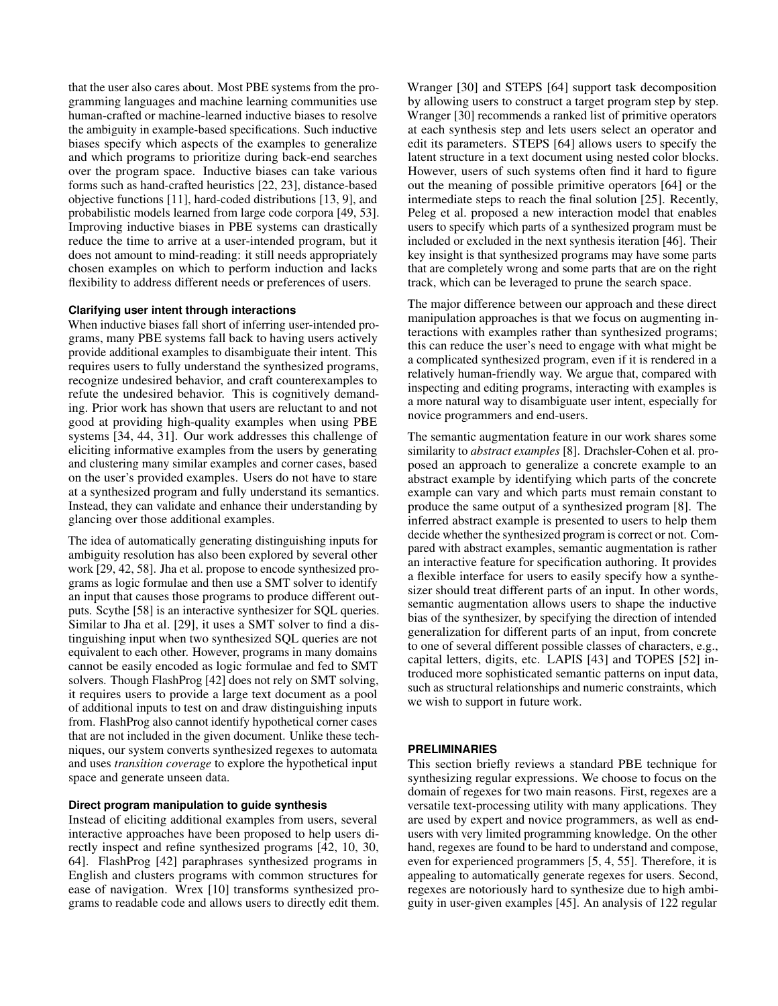that the user also cares about. Most PBE systems from the programming languages and machine learning communities use human-crafted or machine-learned inductive biases to resolve the ambiguity in example-based specifications. Such inductive biases specify which aspects of the examples to generalize and which programs to prioritize during back-end searches over the program space. Inductive biases can take various forms such as hand-crafted heuristics [\[22,](#page-12-4) [23\]](#page-12-13), distance-based objective functions [\[11\]](#page-11-7), hard-coded distributions [\[13,](#page-11-8) [9\]](#page-11-9), and probabilistic models learned from large code corpora [\[49,](#page-13-14) [53\]](#page-13-15). Improving inductive biases in PBE systems can drastically reduce the time to arrive at a user-intended program, but it does not amount to mind-reading: it still needs appropriately chosen examples on which to perform induction and lacks flexibility to address different needs or preferences of users.

### **Clarifying user intent through interactions**

When inductive biases fall short of inferring user-intended programs, many PBE systems fall back to having users actively provide additional examples to disambiguate their intent. This requires users to fully understand the synthesized programs, recognize undesired behavior, and craft counterexamples to refute the undesired behavior. This is cognitively demanding. Prior work has shown that users are reluctant to and not good at providing high-quality examples when using PBE systems [\[34,](#page-12-8) [44,](#page-13-3) [31\]](#page-12-7). Our work addresses this challenge of eliciting informative examples from the users by generating and clustering many similar examples and corner cases, based on the user's provided examples. Users do not have to stare at a synthesized program and fully understand its semantics. Instead, they can validate and enhance their understanding by glancing over those additional examples.

The idea of automatically generating distinguishing inputs for ambiguity resolution has also been explored by several other work [\[29,](#page-12-1) [42,](#page-13-4) [58\]](#page-13-16). Jha et al. propose to encode synthesized programs as logic formulae and then use a SMT solver to identify an input that causes those programs to produce different outputs. Scythe [\[58\]](#page-13-16) is an interactive synthesizer for SQL queries. Similar to Jha et al. [\[29\]](#page-12-1), it uses a SMT solver to find a distinguishing input when two synthesized SQL queries are not equivalent to each other. However, programs in many domains cannot be easily encoded as logic formulae and fed to SMT solvers. Though FlashProg [\[42\]](#page-13-4) does not rely on SMT solving, it requires users to provide a large text document as a pool of additional inputs to test on and draw distinguishing inputs from. FlashProg also cannot identify hypothetical corner cases that are not included in the given document. Unlike these techniques, our system converts synthesized regexes to automata and uses *transition coverage* to explore the hypothetical input space and generate unseen data.

# **Direct program manipulation to guide synthesis**

Instead of eliciting additional examples from users, several interactive approaches have been proposed to help users directly inspect and refine synthesized programs [\[42,](#page-13-4) [10,](#page-11-1) [30,](#page-12-9) [64\]](#page-14-1). FlashProg [\[42\]](#page-13-4) paraphrases synthesized programs in English and clusters programs with common structures for ease of navigation. Wrex [\[10\]](#page-11-1) transforms synthesized programs to readable code and allows users to directly edit them. Wranger [\[30\]](#page-12-9) and STEPS [\[64\]](#page-14-1) support task decomposition by allowing users to construct a target program step by step. Wranger [\[30\]](#page-12-9) recommends a ranked list of primitive operators at each synthesis step and lets users select an operator and edit its parameters. STEPS [\[64\]](#page-14-1) allows users to specify the latent structure in a text document using nested color blocks. However, users of such systems often find it hard to figure out the meaning of possible primitive operators [\[64\]](#page-14-1) or the intermediate steps to reach the final solution [\[25\]](#page-12-14). Recently, Peleg et al. proposed a new interaction model that enables users to specify which parts of a synthesized program must be included or excluded in the next synthesis iteration [\[46\]](#page-13-5). Their key insight is that synthesized programs may have some parts that are completely wrong and some parts that are on the right track, which can be leveraged to prune the search space.

The major difference between our approach and these direct manipulation approaches is that we focus on augmenting interactions with examples rather than synthesized programs; this can reduce the user's need to engage with what might be a complicated synthesized program, even if it is rendered in a relatively human-friendly way. We argue that, compared with inspecting and editing programs, interacting with examples is a more natural way to disambiguate user intent, especially for novice programmers and end-users.

The semantic augmentation feature in our work shares some similarity to *abstract examples* [\[8\]](#page-11-10). Drachsler-Cohen et al. proposed an approach to generalize a concrete example to an abstract example by identifying which parts of the concrete example can vary and which parts must remain constant to produce the same output of a synthesized program [\[8\]](#page-11-10). The inferred abstract example is presented to users to help them decide whether the synthesized program is correct or not. Compared with abstract examples, semantic augmentation is rather an interactive feature for specification authoring. It provides a flexible interface for users to easily specify how a synthesizer should treat different parts of an input. In other words, semantic augmentation allows users to shape the inductive bias of the synthesizer, by specifying the direction of intended generalization for different parts of an input, from concrete to one of several different possible classes of characters, e.g., capital letters, digits, etc. LAPIS [\[43\]](#page-13-17) and TOPES [\[52\]](#page-13-18) introduced more sophisticated semantic patterns on input data, such as structural relationships and numeric constraints, which we wish to support in future work.

# **PRELIMINARIES**

This section briefly reviews a standard PBE technique for synthesizing regular expressions. We choose to focus on the domain of regexes for two main reasons. First, regexes are a versatile text-processing utility with many applications. They are used by expert and novice programmers, as well as endusers with very limited programming knowledge. On the other hand, regexes are found to be hard to understand and compose, even for experienced programmers [\[5,](#page-11-2) [4,](#page-11-3) [55\]](#page-13-6). Therefore, it is appealing to automatically generate regexes for users. Second, regexes are notoriously hard to synthesize due to high ambiguity in user-given examples [\[45\]](#page-13-19). An analysis of 122 regular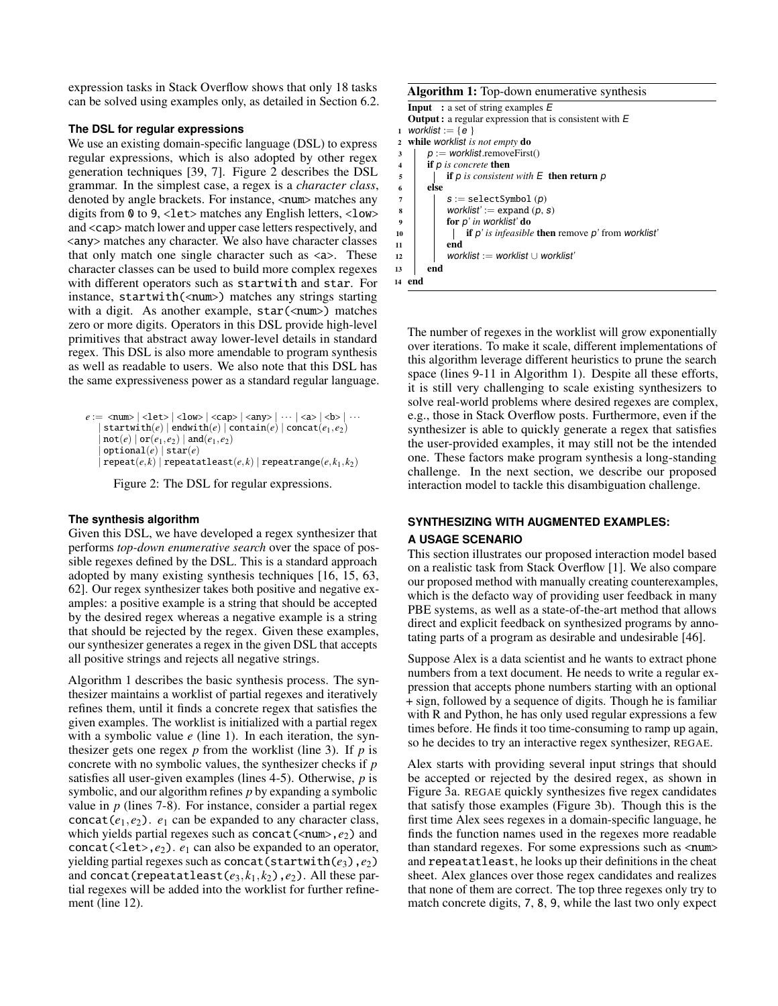expression tasks in Stack Overflow shows that only 18 tasks can be solved using examples only, as detailed in Section [6.2.](#page-8-0)

### **The DSL for regular expressions**

We use an existing domain-specific language (DSL) to express regular expressions, which is also adopted by other regex generation techniques [\[39,](#page-13-20) [7\]](#page-11-11). Figure [2](#page-3-0) describes the DSL grammar. In the simplest case, a regex is a *character class*, denoted by angle brackets. For instance, <num> matches any digits from 0 to 9, <let> matches any English letters, <low> and <cap> match lower and upper case letters respectively, and <any> matches any character. We also have character classes that only match one single character such as  $\langle a \rangle$ . These character classes can be used to build more complex regexes with different operators such as startwith and star. For instance, startwith(<num>) matches any strings starting with a digit. As another example,  $star(\text{num})$  matches zero or more digits. Operators in this DSL provide high-level primitives that abstract away lower-level details in standard regex. This DSL is also more amendable to program synthesis as well as readable to users. We also note that this DSL has the same expressiveness power as a standard regular language.

```
e := \text{ <num> } | \text{ <let> } | \text{ <low> } | \text{ <cap> } | \text{ <any } | \cdots | \text{ <a> } | \text{ <b> } \cdots| \text{startwith}(e) | \text{endwith}(e) | \text{contain}(e) | \text{concat}(e_1, e_2)\ensuremath{\mathsf{not}}(e) \mid \ensuremath{\mathsf{or}}(e_1, e_2) \mid \ensuremath{\mathsf{and}}(e_1, e_2)\textsf{optional}(e) | \textsf{star}(e)\texttt{repeat}(e, k) | \texttt{repeat}(\textit{e}, k) | \texttt{repeatrange}(e, k_1, k_2)
```
Figure 2: The DSL for regular expressions.

# **The synthesis algorithm**

Given this DSL, we have developed a regex synthesizer that performs *top-down enumerative search* over the space of possible regexes defined by the DSL. This is a standard approach adopted by many existing synthesis techniques [\[16,](#page-12-15) [15,](#page-12-0) [63,](#page-14-2) [62\]](#page-13-1). Our regex synthesizer takes both positive and negative examples: a positive example is a string that should be accepted by the desired regex whereas a negative example is a string that should be rejected by the regex. Given these examples, our synthesizer generates a regex in the given DSL that accepts all positive strings and rejects all negative strings.

Algorithm [1](#page-3-1) describes the basic synthesis process. The synthesizer maintains a worklist of partial regexes and iteratively refines them, until it finds a concrete regex that satisfies the given examples. The worklist is initialized with a partial regex with a symbolic value *e* (line 1). In each iteration, the synthesizer gets one regex *p* from the worklist (line 3). If *p* is concrete with no symbolic values, the synthesizer checks if *p* satisfies all user-given examples (lines 4-5). Otherwise, *p* is symbolic, and our algorithm refines *p* by expanding a symbolic value in *p* (lines 7-8). For instance, consider a partial regex concat( $e_1, e_2$ ).  $e_1$  can be expanded to any character class, which yields partial regexes such as concat(<num>, $e_2$ ) and concat(<let>, $e_2$ ).  $e_1$  can also be expanded to an operator, yielding partial regexes such as concat(startwith(*e*3),*e*2) and concat(repeatatleast( $e_3$ , $k_1$ , $k_2$ ),  $e_2$ ). All these partial regexes will be added into the worklist for further refinement (line 12).

#### Algorithm 1: Top-down enumerative synthesis

```
Input : a set of string examples EOutput : a regular expression that is consistent with E
1 worklist := {e }
2 while worklist is not empty do
\mathfrak{p} := worklist.removeFirst()
4 if p is concrete then
5 i if p is consistent with E then return p
6 else
7 \mid S := \text{selectSymbol}(p)8 worklist' := expand (p, s)<br>of p' in worklist' do
           for p' in worklist' do
10 if p' is infeasible then remove p' from worklist'
11 end
12 worklist := worklist ∪ worklist'
13 end
14 end
```
The number of regexes in the worklist will grow exponentially over iterations. To make it scale, different implementations of this algorithm leverage different heuristics to prune the search space (lines 9-11 in Algorithm [1\)](#page-3-1). Despite all these efforts, it is still very challenging to scale existing synthesizers to solve real-world problems where desired regexes are complex, e.g., those in Stack Overflow posts. Furthermore, even if the synthesizer is able to quickly generate a regex that satisfies the user-provided examples, it may still not be the intended one. These factors make program synthesis a long-standing challenge. In the next section, we describe our proposed interaction model to tackle this disambiguation challenge.

# **SYNTHESIZING WITH AUGMENTED EXAMPLES:**

# **A USAGE SCENARIO**

This section illustrates our proposed interaction model based on a realistic task from Stack Overflow [\[1\]](#page-11-12). We also compare our proposed method with manually creating counterexamples, which is the defacto way of providing user feedback in many PBE systems, as well as a state-of-the-art method that allows direct and explicit feedback on synthesized programs by annotating parts of a program as desirable and undesirable [\[46\]](#page-13-5).

Suppose Alex is a data scientist and he wants to extract phone numbers from a text document. He needs to write a regular expression that accepts phone numbers starting with an optional + sign, followed by a sequence of digits. Though he is familiar with R and Python, he has only used regular expressions a few times before. He finds it too time-consuming to ramp up again, so he decides to try an interactive regex synthesizer, REGAE.

Alex starts with providing several input strings that should be accepted or rejected by the desired regex, as shown in Figure [3a.](#page-4-0) REGAE quickly synthesizes five regex candidates that satisfy those examples (Figure [3b\)](#page-4-0). Though this is the first time Alex sees regexes in a domain-specific language, he finds the function names used in the regexes more readable than standard regexes. For some expressions such as  $\langle num \rangle$ and repeatatleast, he looks up their definitions in the cheat sheet. Alex glances over those regex candidates and realizes that none of them are correct. The top three regexes only try to match concrete digits, 7, 8, 9, while the last two only expect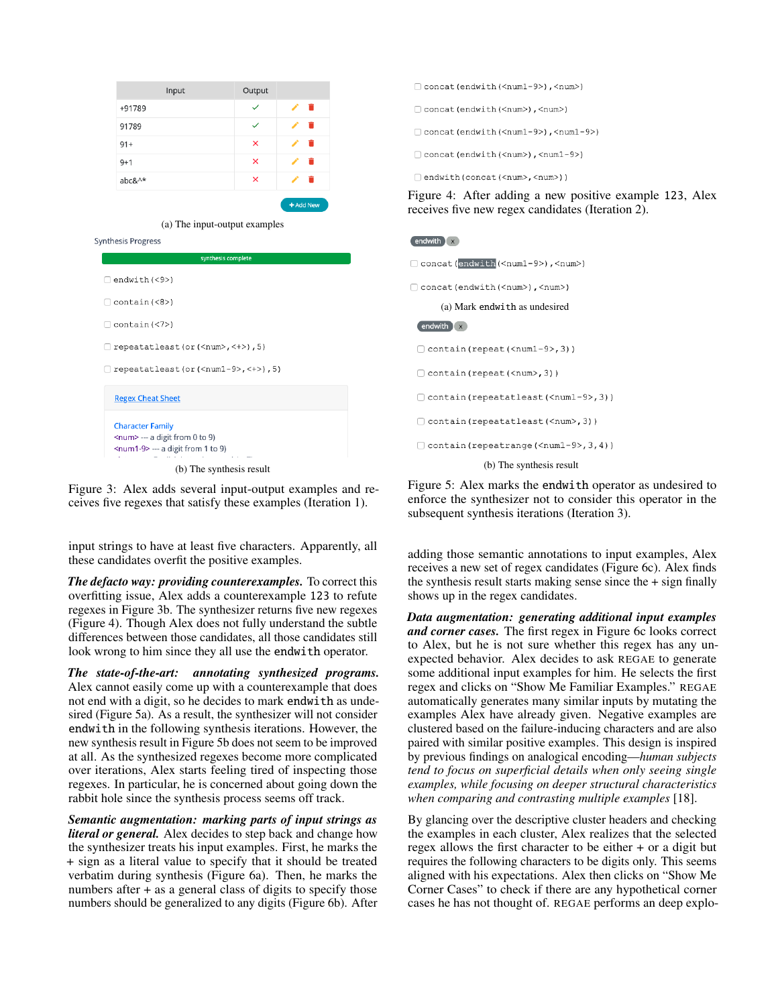<span id="page-4-0"></span>

| Input<br>Output<br>$\checkmark$<br>π<br>+91789<br>91789<br>✓<br>×<br>$91 +$<br>×<br>$9 + 1$<br>×<br>abc&^*<br>+ Add New<br>(a) The input-output examples<br>synthesis complete<br>$\exists$ endwith (<9>)<br>$contain(\langle 7 \rangle)$<br>repeatatleast (or $(\langle num \rangle, \langle + \rangle)$ , 5)<br>repeatatleast (or $(\text{cnum1-9>}, \text{4>})$ , 5)<br><b>Regex Cheat Sheet</b><br><b>Character Family</b> |                                      |  |  |
|--------------------------------------------------------------------------------------------------------------------------------------------------------------------------------------------------------------------------------------------------------------------------------------------------------------------------------------------------------------------------------------------------------------------------------|--------------------------------------|--|--|
|                                                                                                                                                                                                                                                                                                                                                                                                                                |                                      |  |  |
|                                                                                                                                                                                                                                                                                                                                                                                                                                |                                      |  |  |
|                                                                                                                                                                                                                                                                                                                                                                                                                                |                                      |  |  |
|                                                                                                                                                                                                                                                                                                                                                                                                                                |                                      |  |  |
|                                                                                                                                                                                                                                                                                                                                                                                                                                |                                      |  |  |
|                                                                                                                                                                                                                                                                                                                                                                                                                                |                                      |  |  |
|                                                                                                                                                                                                                                                                                                                                                                                                                                |                                      |  |  |
|                                                                                                                                                                                                                                                                                                                                                                                                                                |                                      |  |  |
|                                                                                                                                                                                                                                                                                                                                                                                                                                | Synthesis Progress                   |  |  |
|                                                                                                                                                                                                                                                                                                                                                                                                                                |                                      |  |  |
|                                                                                                                                                                                                                                                                                                                                                                                                                                |                                      |  |  |
|                                                                                                                                                                                                                                                                                                                                                                                                                                |                                      |  |  |
|                                                                                                                                                                                                                                                                                                                                                                                                                                | contain (<8>)                        |  |  |
|                                                                                                                                                                                                                                                                                                                                                                                                                                |                                      |  |  |
|                                                                                                                                                                                                                                                                                                                                                                                                                                |                                      |  |  |
|                                                                                                                                                                                                                                                                                                                                                                                                                                |                                      |  |  |
|                                                                                                                                                                                                                                                                                                                                                                                                                                |                                      |  |  |
|                                                                                                                                                                                                                                                                                                                                                                                                                                |                                      |  |  |
|                                                                                                                                                                                                                                                                                                                                                                                                                                |                                      |  |  |
|                                                                                                                                                                                                                                                                                                                                                                                                                                | <num> --- a digit from 0 to 9)</num> |  |  |
| <num1-9> --- a digit from 1 to 9)</num1-9>                                                                                                                                                                                                                                                                                                                                                                                     |                                      |  |  |

Figure 3: Alex adds several input-output examples and receives five regexes that satisfy these examples (Iteration 1).

input strings to have at least five characters. Apparently, all these candidates overfit the positive examples.

*The defacto way: providing counterexamples.* To correct this overfitting issue, Alex adds a counterexample 123 to refute regexes in Figure [3b.](#page-4-0) The synthesizer returns five new regexes (Figure [4\)](#page-4-1). Though Alex does not fully understand the subtle differences between those candidates, all those candidates still look wrong to him since they all use the endwith operator.

*The state-of-the-art: annotating synthesized programs.* Alex cannot easily come up with a counterexample that does not end with a digit, so he decides to mark endwith as undesired (Figure [5a\)](#page-4-2). As a result, the synthesizer will not consider endwith in the following synthesis iterations. However, the new synthesis result in Figure [5b](#page-4-2) does not seem to be improved at all. As the synthesized regexes become more complicated over iterations, Alex starts feeling tired of inspecting those regexes. In particular, he is concerned about going down the rabbit hole since the synthesis process seems off track.

*Semantic augmentation: marking parts of input strings as literal or general.* Alex decides to step back and change how the synthesizer treats his input examples. First, he marks the + sign as a literal value to specify that it should be treated verbatim during synthesis (Figure [6a\)](#page-5-0). Then, he marks the numbers after + as a general class of digits to specify those numbers should be generalized to any digits (Figure [6b\)](#page-5-0). After

- <span id="page-4-1"></span>Concat (endwith (<num1-9>), <num>)
- (<num>), <num>(<num>), <num>(<num>)
- Concat (endwith (<num1-9>), <num1-9>)
- Concat (endwith (<num>), <num1-9>)
- □ endwith (concat (<num>, <num>) )

Figure 4: After adding a new positive example 123, Alex receives five new regex candidates (Iteration 2).

#### <span id="page-4-2"></span>endwith x

C concat (endwith (<num1-9>), <num>)

Concat (endwith (<num>), <num>)

(a) Mark endwith as undesired

# endwith x

Contain (repeat (<num1-9>, 3))

- Contain (repeat (<num>, 3))
- □ contain (repeatatleast (<num1-9>, 3))

Contain (repeatatleast (<num>, 3))

Contain (repeatrange (<num1-9>, 3, 4))

(b) The synthesis result

Figure 5: Alex marks the endwith operator as undesired to enforce the synthesizer not to consider this operator in the subsequent synthesis iterations (Iteration 3).

adding those semantic annotations to input examples, Alex receives a new set of regex candidates (Figure [6c\)](#page-5-0). Alex finds the synthesis result starts making sense since the + sign finally shows up in the regex candidates.

*Data augmentation: generating additional input examples and corner cases.* The first regex in Figure [6c](#page-5-0) looks correct to Alex, but he is not sure whether this regex has any unexpected behavior. Alex decides to ask REGAE to generate some additional input examples for him. He selects the first regex and clicks on "Show Me Familiar Examples." REGAE automatically generates many similar inputs by mutating the examples Alex have already given. Negative examples are clustered based on the failure-inducing characters and are also paired with similar positive examples. This design is inspired by previous findings on analogical encoding—*human subjects tend to focus on superficial details when only seeing single examples, while focusing on deeper structural characteristics when comparing and contrasting multiple examples* [\[18\]](#page-12-16).

By glancing over the descriptive cluster headers and checking the examples in each cluster, Alex realizes that the selected regex allows the first character to be either + or a digit but requires the following characters to be digits only. This seems aligned with his expectations. Alex then clicks on "Show Me Corner Cases" to check if there are any hypothetical corner cases he has not thought of. REGAE performs an deep explo-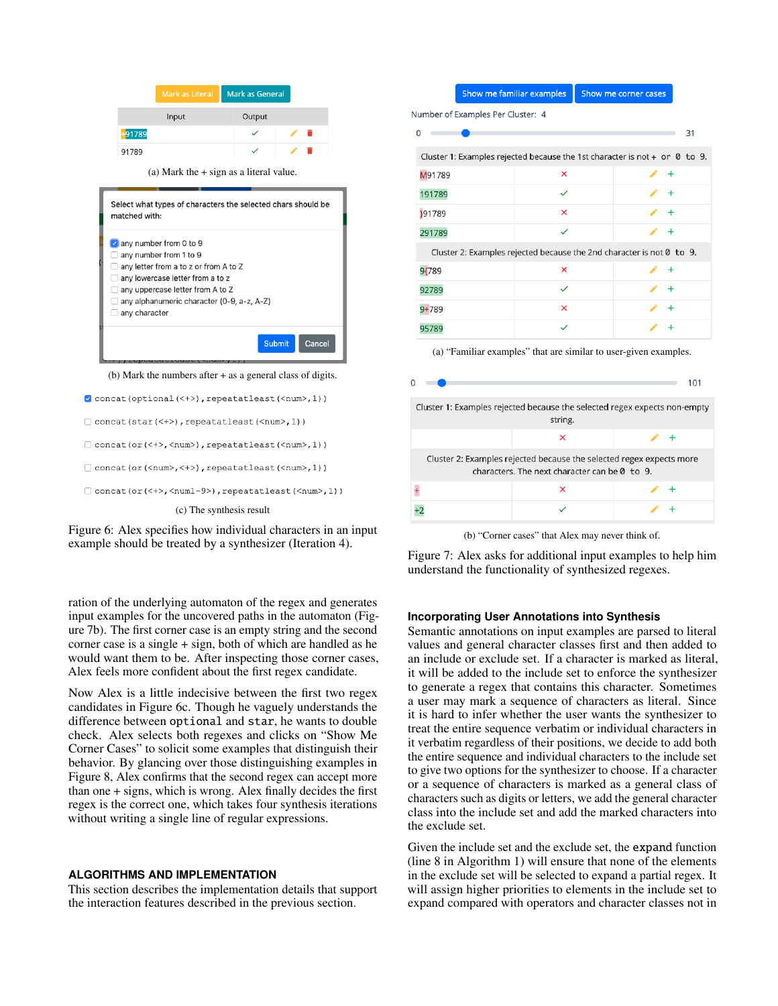<span id="page-5-0"></span>

```
Concat(star(<+>), repeatatleast(<num>,1))
```

```
Concat(or(<+>,<num>),repeatatleast(<num>,1))
```

```
[ ] concat (or (<num>,<+>), repeatatleast(<num>,1))
```
Concat(or(<+>,<num1-9>),repeatatleast(<num>,1))

#### (c) The synthesis result

Figure 6: Alex specifies how individual characters in an input example should be treated by a synthesizer (Iteration 4).

ration of the underlying automaton of the regex and generates input examples for the uncovered paths in the automaton (Figure [7b\)](#page-5-1). The first corner case is an empty string and the second corner case is a single + sign, both of which are handled as he would want them to be. After inspecting those corner cases, Alex feels more confident about the first regex candidate.

Now Alex is a little indecisive between the first two regex candidates in Figure [6c.](#page-5-0) Though he vaguely understands the difference between optional and star, he wants to double check. Alex selects both regexes and clicks on "Show Me Corner Cases" to solicit some examples that distinguish their behavior. By glancing over those distinguishing examples in Figure [8,](#page-6-0) Alex confirms that the second regex can accept more than one + signs, which is wrong. Alex finally decides the first regex is the correct one, which takes four synthesis iterations without writing a single line of regular expressions.

# <span id="page-5-2"></span>**ALGORITHMS AND IMPLEMENTATION**

This section describes the implementation details that support the interaction features described in the previous section.

#### Show me familiar examples Show me corner cases

<span id="page-5-1"></span>Number of Examples Per Cluster: 4

|                                                                       |                                                                              | 31        |  |  |
|-----------------------------------------------------------------------|------------------------------------------------------------------------------|-----------|--|--|
|                                                                       | Cluster 1: Examples rejected because the 1st character is not + or $0$ to 9. |           |  |  |
| M91789                                                                | ×                                                                            | $+$       |  |  |
| 191789                                                                |                                                                              | $\ddot{}$ |  |  |
| }91789                                                                | ×                                                                            | $+$       |  |  |
| 291789                                                                | $\checkmark$                                                                 | $+$       |  |  |
| Cluster 2: Examples rejected because the 2nd character is not 0 to 9. |                                                                              |           |  |  |
| 9{789                                                                 | ×                                                                            | $\ddot{}$ |  |  |
| 92789                                                                 | $\checkmark$                                                                 | $+$       |  |  |
| $9 + 789$                                                             | ×                                                                            | $\ddot{}$ |  |  |
| 95789                                                                 | $\checkmark$                                                                 | $\ddot{}$ |  |  |
|                                                                       |                                                                              |           |  |  |

(a) "Familiar examples" that are similar to user-given examples.



(b) "Corner cases" that Alex may never think of.

Figure 7: Alex asks for additional input examples to help him understand the functionality of synthesized regexes.

#### **Incorporating User Annotations into Synthesis**

Semantic annotations on input examples are parsed to literal values and general character classes first and then added to an include or exclude set. If a character is marked as literal, it will be added to the include set to enforce the synthesizer to generate a regex that contains this character. Sometimes a user may mark a sequence of characters as literal. Since it is hard to infer whether the user wants the synthesizer to treat the entire sequence verbatim or individual characters in it verbatim regardless of their positions, we decide to add both the entire sequence and individual characters to the include set to give two options for the synthesizer to choose. If a character or a sequence of characters is marked as a general class of characters such as digits or letters, we add the general character class into the include set and add the marked characters into the exclude set.

Given the include set and the exclude set, the expand function (line 8 in Algorithm [1\)](#page-3-1) will ensure that none of the elements in the exclude set will be selected to expand a partial regex. It will assign higher priorities to elements in the include set to expand compared with operators and character classes not in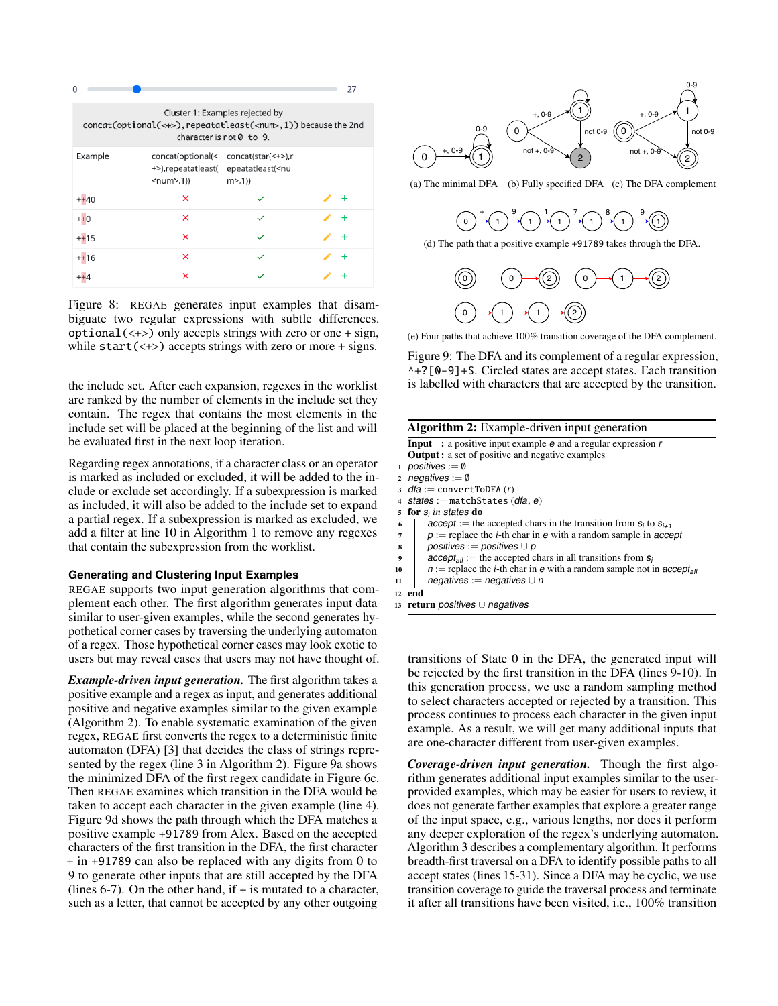<span id="page-6-0"></span>

| $\Omega$                                                                                                                                               |                                                            |                                                               | 27        |  |
|--------------------------------------------------------------------------------------------------------------------------------------------------------|------------------------------------------------------------|---------------------------------------------------------------|-----------|--|
| Cluster 1: Examples rejected by<br>concat(optional(<+>), repeatatleast( <num>,1)) because the 2nd<br/>character is not <math>\theta</math> to 9.</num> |                                                            |                                                               |           |  |
| Example                                                                                                                                                | concat(optional(<<br>+>),repeatatleast(<br>$<$ num $>$ ,1) | concat(star(<+>),r<br>epeatatleast( <nu<br>m &gt; (1)</nu<br> |           |  |
| $++40$                                                                                                                                                 | ×                                                          |                                                               | +         |  |
| $++0$                                                                                                                                                  | ×                                                          |                                                               | ÷         |  |
| $++15$                                                                                                                                                 | ×                                                          |                                                               | $\ddot{}$ |  |
| $++16$                                                                                                                                                 | ×                                                          |                                                               | $\ddot{}$ |  |
|                                                                                                                                                        | ×                                                          |                                                               |           |  |

Figure 8: REGAE generates input examples that disambiguate two regular expressions with subtle differences.  $optional(\leftrightarrow)$  only accepts strings with zero or one + sign, while  $start(\leftrightarrow)$  accepts strings with zero or more + signs.

the include set. After each expansion, regexes in the worklist are ranked by the number of elements in the include set they contain. The regex that contains the most elements in the include set will be placed at the beginning of the list and will be evaluated first in the next loop iteration.

Regarding regex annotations, if a character class or an operator is marked as included or excluded, it will be added to the include or exclude set accordingly. If a subexpression is marked as included, it will also be added to the include set to expand a partial regex. If a subexpression is marked as excluded, we add a filter at line 10 in Algorithm [1](#page-3-1) to remove any regexes that contain the subexpression from the worklist.

#### **Generating and Clustering Input Examples**

REGAE supports two input generation algorithms that complement each other. The first algorithm generates input data similar to user-given examples, while the second generates hypothetical corner cases by traversing the underlying automaton of a regex. Those hypothetical corner cases may look exotic to users but may reveal cases that users may not have thought of.

*Example-driven input generation.* The first algorithm takes a positive example and a regex as input, and generates additional positive and negative examples similar to the given example (Algorithm [2\)](#page-6-1). To enable systematic examination of the given regex, REGAE first converts the regex to a deterministic finite automaton (DFA) [\[3\]](#page-11-13) that decides the class of strings represented by the regex (line 3 in Algorithm [2\)](#page-6-1). Figure [9a](#page-6-2) shows the minimized DFA of the first regex candidate in Figure [6c.](#page-5-0) Then REGAE examines which transition in the DFA would be taken to accept each character in the given example (line 4). Figure [9d](#page-6-2) shows the path through which the DFA matches a positive example +91789 from Alex. Based on the accepted characters of the first transition in the DFA, the first character + in +91789 can also be replaced with any digits from 0 to 9 to generate other inputs that are still accepted by the DFA (lines  $6-7$ ). On the other hand, if  $+$  is mutated to a character, such as a letter, that cannot be accepted by any other outgoing

<span id="page-6-2"></span>

(a) The minimal DFA (b) Fully specified DFA (c) The DFA complement



(d) The path that a positive example +91789 takes through the DFA.



(e) Four paths that achieve 100% transition coverage of the DFA complement.

Figure 9: The DFA and its complement of a regular expression, ^+?[0-9]+\$. Circled states are accept states. Each transition is labelled with characters that are accepted by the transition.

<span id="page-6-1"></span>

|              | Algorithm 2: Example-driven input generation                                                  |  |  |  |  |  |  |
|--------------|-----------------------------------------------------------------------------------------------|--|--|--|--|--|--|
|              | <b>Input</b> : a positive input example $e$ and a regular expression $r$                      |  |  |  |  |  |  |
|              | <b>Output:</b> a set of positive and negative examples                                        |  |  |  |  |  |  |
|              | 1 positives := $\emptyset$                                                                    |  |  |  |  |  |  |
| $\mathbf{2}$ | negatives := $\emptyset$                                                                      |  |  |  |  |  |  |
|              | 3 $dia := convertToDFA(r)$                                                                    |  |  |  |  |  |  |
|              | 4 states := matchStates (dfa, e)                                                              |  |  |  |  |  |  |
| 5.           | for $s_i$ in states do                                                                        |  |  |  |  |  |  |
| 6            | $accept :=$ the accepted chars in the transition from $s_i$ to $s_{i+1}$                      |  |  |  |  |  |  |
| 7            | $p :=$ replace the <i>i</i> -th char in e with a random sample in accept                      |  |  |  |  |  |  |
| 8            | positives := positives $\cup p$                                                               |  |  |  |  |  |  |
| 9            | $accept_{all}$ := the accepted chars in all transitions from $s_i$                            |  |  |  |  |  |  |
| 10           | $n :=$ replace the <i>i</i> -th char in $e$ with a random sample not in accept <sub>all</sub> |  |  |  |  |  |  |
| 11           | negatives := negatives $\cup$ n                                                               |  |  |  |  |  |  |
|              | 12 end                                                                                        |  |  |  |  |  |  |
|              | 13 return positives $\cup$ negatives                                                          |  |  |  |  |  |  |
|              |                                                                                               |  |  |  |  |  |  |

transitions of State 0 in the DFA, the generated input will be rejected by the first transition in the DFA (lines 9-10). In this generation process, we use a random sampling method to select characters accepted or rejected by a transition. This process continues to process each character in the given input example. As a result, we will get many additional inputs that are one-character different from user-given examples.

*Coverage-driven input generation.* Though the first algorithm generates additional input examples similar to the userprovided examples, which may be easier for users to review, it does not generate farther examples that explore a greater range of the input space, e.g., various lengths, nor does it perform any deeper exploration of the regex's underlying automaton. Algorithm [3](#page-7-0) describes a complementary algorithm. It performs breadth-first traversal on a DFA to identify possible paths to all accept states (lines 15-31). Since a DFA may be cyclic, we use transition coverage to guide the traversal process and terminate it after all transitions have been visited, i.e., 100% transition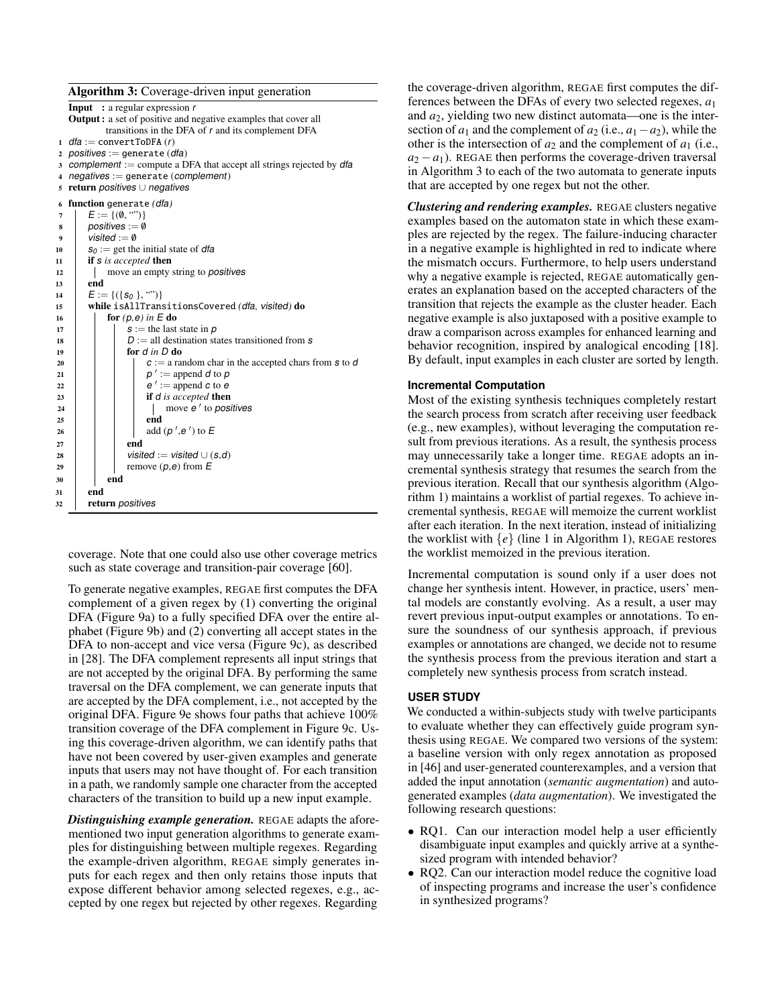#### Algorithm 3: Coverage-driven input generation

<span id="page-7-0"></span>

|    | <b>Input</b> : a regular expression $r$                                 |  |  |  |  |  |  |  |
|----|-------------------------------------------------------------------------|--|--|--|--|--|--|--|
|    | <b>Output:</b> a set of positive and negative examples that cover all   |  |  |  |  |  |  |  |
|    | transitions in the DFA of r and its complement DFA                      |  |  |  |  |  |  |  |
|    | 1 $dia := convertToDFA(r)$                                              |  |  |  |  |  |  |  |
|    | 2 positives := generate $(dfa)$                                         |  |  |  |  |  |  |  |
|    | 3 complement := compute a DFA that accept all strings rejected by $dfa$ |  |  |  |  |  |  |  |
|    | 4 negatives := generate (complement)                                    |  |  |  |  |  |  |  |
| 5. | return positives $\cup$ negatives                                       |  |  |  |  |  |  |  |
| 6  | function generate (dfa)                                                 |  |  |  |  |  |  |  |
| 7  | $E := \{(\emptyset, \, \text{``})\}$                                    |  |  |  |  |  |  |  |
| 8  | positives := $\emptyset$                                                |  |  |  |  |  |  |  |
| 9  | visited $:= \emptyset$                                                  |  |  |  |  |  |  |  |
| 10 | $s_0 :=$ get the initial state of dfa                                   |  |  |  |  |  |  |  |
| 11 | if s is accepted then                                                   |  |  |  |  |  |  |  |
| 12 | move an empty string to <i>positives</i>                                |  |  |  |  |  |  |  |
| 13 | end                                                                     |  |  |  |  |  |  |  |
| 14 | $E := \{ (\{s_0\}, \cdots) \}$                                          |  |  |  |  |  |  |  |
| 15 | while isAllTransitionsCovered (dfa, visited) do                         |  |  |  |  |  |  |  |
| 16 | for $(p, e)$ in $E$ do                                                  |  |  |  |  |  |  |  |
| 17 | $s :=$ the last state in $p$                                            |  |  |  |  |  |  |  |
| 18 | $D :=$ all destination states transitioned from s                       |  |  |  |  |  |  |  |
| 19 | for $d$ in $D$ do                                                       |  |  |  |  |  |  |  |
| 20 | $c := a$ random char in the accepted chars from s to d                  |  |  |  |  |  |  |  |
| 21 | $p' :=$ append d to p                                                   |  |  |  |  |  |  |  |
| 22 | $e' :=$ append c to e                                                   |  |  |  |  |  |  |  |
| 23 | if <i>d</i> is accepted <b>then</b>                                     |  |  |  |  |  |  |  |
| 24 | move e ' to positives                                                   |  |  |  |  |  |  |  |
| 25 | end                                                                     |  |  |  |  |  |  |  |
| 26 | add $(p', e')$ to E                                                     |  |  |  |  |  |  |  |
| 27 | end                                                                     |  |  |  |  |  |  |  |
| 28 | visited := visited $\cup$ (s,d)                                         |  |  |  |  |  |  |  |
| 29 | remove $(p,e)$ from $E$                                                 |  |  |  |  |  |  |  |
| 30 | end                                                                     |  |  |  |  |  |  |  |
| 31 | end                                                                     |  |  |  |  |  |  |  |
| 32 | return <i>positives</i>                                                 |  |  |  |  |  |  |  |

coverage. Note that one could also use other coverage metrics such as state coverage and transition-pair coverage [\[60\]](#page-13-21).

To generate negative examples, REGAE first computes the DFA complement of a given regex by (1) converting the original DFA (Figure [9a\)](#page-6-2) to a fully specified DFA over the entire alphabet (Figure [9b\)](#page-6-2) and (2) converting all accept states in the DFA to non-accept and vice versa (Figure [9c\)](#page-6-2), as described in [\[28\]](#page-12-17). The DFA complement represents all input strings that are not accepted by the original DFA. By performing the same traversal on the DFA complement, we can generate inputs that are accepted by the DFA complement, i.e., not accepted by the original DFA. Figure [9e](#page-6-2) shows four paths that achieve 100% transition coverage of the DFA complement in Figure [9c.](#page-6-2) Using this coverage-driven algorithm, we can identify paths that have not been covered by user-given examples and generate inputs that users may not have thought of. For each transition in a path, we randomly sample one character from the accepted characters of the transition to build up a new input example.

*Distinguishing example generation.* REGAE adapts the aforementioned two input generation algorithms to generate examples for distinguishing between multiple regexes. Regarding the example-driven algorithm, REGAE simply generates inputs for each regex and then only retains those inputs that expose different behavior among selected regexes, e.g., accepted by one regex but rejected by other regexes. Regarding

the coverage-driven algorithm, REGAE first computes the differences between the DFAs of every two selected regexes, *a*<sup>1</sup> and *a*2, yielding two new distinct automata—one is the intersection of  $a_1$  and the complement of  $a_2$  (i.e.,  $a_1 - a_2$ ), while the other is the intersection of  $a_2$  and the complement of  $a_1$  (i.e.,  $a_2 - a_1$ ). REGAE then performs the coverage-driven traversal in Algorithm [3](#page-7-0) to each of the two automata to generate inputs that are accepted by one regex but not the other.

*Clustering and rendering examples.* REGAE clusters negative examples based on the automaton state in which these examples are rejected by the regex. The failure-inducing character in a negative example is highlighted in red to indicate where the mismatch occurs. Furthermore, to help users understand why a negative example is rejected, REGAE automatically generates an explanation based on the accepted characters of the transition that rejects the example as the cluster header. Each negative example is also juxtaposed with a positive example to draw a comparison across examples for enhanced learning and behavior recognition, inspired by analogical encoding [\[18\]](#page-12-16). By default, input examples in each cluster are sorted by length.

#### **Incremental Computation**

Most of the existing synthesis techniques completely restart the search process from scratch after receiving user feedback (e.g., new examples), without leveraging the computation result from previous iterations. As a result, the synthesis process may unnecessarily take a longer time. REGAE adopts an incremental synthesis strategy that resumes the search from the previous iteration. Recall that our synthesis algorithm (Algorithm [1\)](#page-3-1) maintains a worklist of partial regexes. To achieve incremental synthesis, REGAE will memoize the current worklist after each iteration. In the next iteration, instead of initializing the worklist with  $\{e\}$  (line 1 in Algorithm [1\)](#page-3-1), REGAE restores the worklist memoized in the previous iteration.

Incremental computation is sound only if a user does not change her synthesis intent. However, in practice, users' mental models are constantly evolving. As a result, a user may revert previous input-output examples or annotations. To ensure the soundness of our synthesis approach, if previous examples or annotations are changed, we decide not to resume the synthesis process from the previous iteration and start a completely new synthesis process from scratch instead.

### **USER STUDY**

We conducted a within-subjects study with twelve participants to evaluate whether they can effectively guide program synthesis using REGAE. We compared two versions of the system: a baseline version with only regex annotation as proposed in [\[46\]](#page-13-5) and user-generated counterexamples, and a version that added the input annotation (*semantic augmentation*) and autogenerated examples (*data augmentation*). We investigated the following research questions:

- RQ1. Can our interaction model help a user efficiently disambiguate input examples and quickly arrive at a synthesized program with intended behavior?
- RQ2. Can our interaction model reduce the cognitive load of inspecting programs and increase the user's confidence in synthesized programs?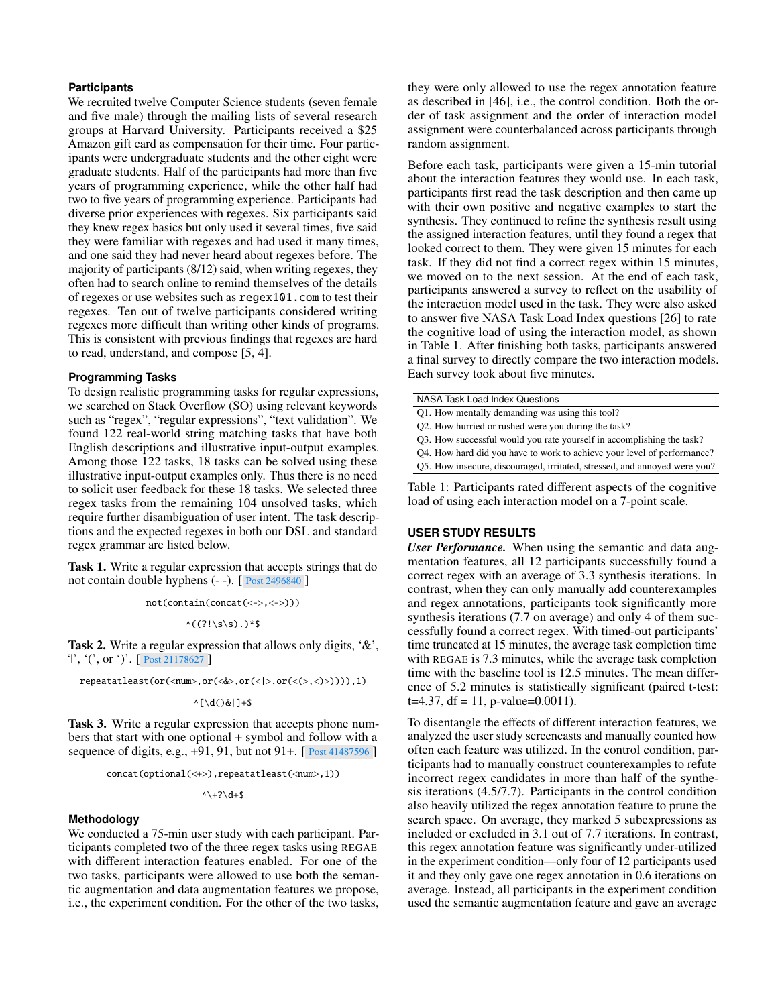#### **Participants**

We recruited twelve Computer Science students (seven female and five male) through the mailing lists of several research groups at Harvard University. Participants received a \$25 Amazon gift card as compensation for their time. Four participants were undergraduate students and the other eight were graduate students. Half of the participants had more than five years of programming experience, while the other half had two to five years of programming experience. Participants had diverse prior experiences with regexes. Six participants said they knew regex basics but only used it several times, five said they were familiar with regexes and had used it many times, and one said they had never heard about regexes before. The majority of participants (8/12) said, when writing regexes, they often had to search online to remind themselves of the details of regexes or use websites such as regex101.com to test their regexes. Ten out of twelve participants considered writing regexes more difficult than writing other kinds of programs. This is consistent with previous findings that regexes are hard to read, understand, and compose [\[5,](#page-11-2) [4\]](#page-11-3).

### <span id="page-8-0"></span>**Programming Tasks**

To design realistic programming tasks for regular expressions, we searched on Stack Overflow (SO) using relevant keywords such as "regex", "regular expressions", "text validation". We found 122 real-world string matching tasks that have both English descriptions and illustrative input-output examples. Among those 122 tasks, 18 tasks can be solved using these illustrative input-output examples only. Thus there is no need to solicit user feedback for these 18 tasks. We selected three regex tasks from the remaining 104 unsolved tasks, which require further disambiguation of user intent. The task descriptions and the expected regexes in both our DSL and standard regex grammar are listed below.

Task 1. Write a regular expression that accepts strings that do not contain double hyphens (- -). [ [Post 2496840](https://stackoverflow.com/questions/2496840) ]

not(contain(concat(<->,<->)))

 $*($ ((?!\s\s).)\*\$

Task 2. Write a regular expression that allows only digits, '&', '|', '(', or ')'. [ [Post 21178627](https://stackoverflow.com/questions/21178627) ]

repeatatleast(or(<num>,or(<&>,or(<|>,or(<(>,<)>)))),1)

 $\wedge$ [\d()&|]+\$

Task 3. Write a regular expression that accepts phone numbers that start with one optional + symbol and follow with a sequence of digits, e.g., +91, 91, but not 91+. [ [Post 41487596](https://stackoverflow.com/questions/41487596) ]

concat(optional(<+>),repeatatleast(<num>,1))

 $\wedge$  +? \d+\$

#### **Methodology**

We conducted a 75-min user study with each participant. Participants completed two of the three regex tasks using REGAE with different interaction features enabled. For one of the two tasks, participants were allowed to use both the semantic augmentation and data augmentation features we propose, i.e., the experiment condition. For the other of the two tasks,

they were only allowed to use the regex annotation feature as described in [\[46\]](#page-13-5), i.e., the control condition. Both the order of task assignment and the order of interaction model assignment were counterbalanced across participants through random assignment.

Before each task, participants were given a 15-min tutorial about the interaction features they would use. In each task, participants first read the task description and then came up with their own positive and negative examples to start the synthesis. They continued to refine the synthesis result using the assigned interaction features, until they found a regex that looked correct to them. They were given 15 minutes for each task. If they did not find a correct regex within 15 minutes, we moved on to the next session. At the end of each task, participants answered a survey to reflect on the usability of the interaction model used in the task. They were also asked to answer five NASA Task Load Index questions [\[26\]](#page-12-18) to rate the cognitive load of using the interaction model, as shown in Table [1.](#page-8-1) After finishing both tasks, participants answered a final survey to directly compare the two interaction models. Each survey took about five minutes.

<span id="page-8-1"></span>NASA Task Load Index Questions

- Q1. How mentally demanding was using this tool?
- Q2. How hurried or rushed were you during the task?
- Q3. How successful would you rate yourself in accomplishing the task?
- Q4. How hard did you have to work to achieve your level of performance?
- Q5. How insecure, discouraged, irritated, stressed, and annoyed were you?

Table 1: Participants rated different aspects of the cognitive load of using each interaction model on a 7-point scale.

#### **USER STUDY RESULTS**

*User Performance.* When using the semantic and data augmentation features, all 12 participants successfully found a correct regex with an average of 3.3 synthesis iterations. In contrast, when they can only manually add counterexamples and regex annotations, participants took significantly more synthesis iterations (7.7 on average) and only 4 of them successfully found a correct regex. With timed-out participants' time truncated at 15 minutes, the average task completion time with REGAE is 7.3 minutes, while the average task completion time with the baseline tool is 12.5 minutes. The mean difference of 5.2 minutes is statistically significant (paired t-test:  $t=4.37$ , df = 11, p-value=0.0011).

To disentangle the effects of different interaction features, we analyzed the user study screencasts and manually counted how often each feature was utilized. In the control condition, participants had to manually construct counterexamples to refute incorrect regex candidates in more than half of the synthesis iterations (4.5/7.7). Participants in the control condition also heavily utilized the regex annotation feature to prune the search space. On average, they marked 5 subexpressions as included or excluded in 3.1 out of 7.7 iterations. In contrast, this regex annotation feature was significantly under-utilized in the experiment condition—only four of 12 participants used it and they only gave one regex annotation in 0.6 iterations on average. Instead, all participants in the experiment condition used the semantic augmentation feature and gave an average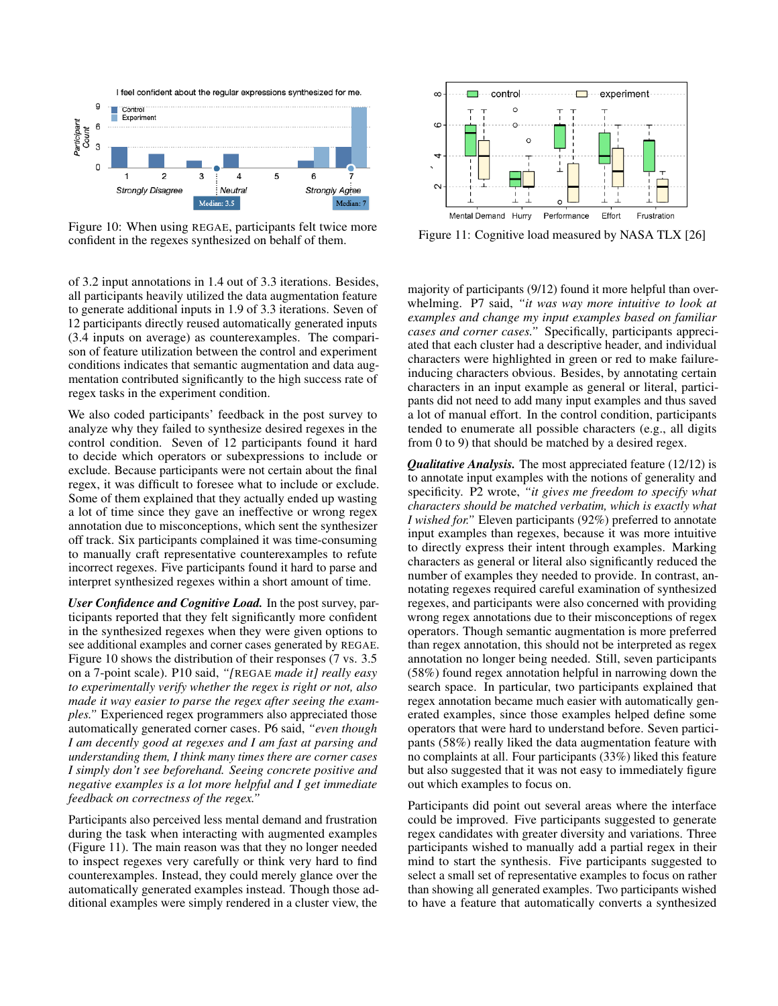<span id="page-9-0"></span>

Figure 10: When using REGAE, participants felt twice more confident in the regexes synthesized on behalf of them.

of 3.2 input annotations in 1.4 out of 3.3 iterations. Besides, all participants heavily utilized the data augmentation feature to generate additional inputs in 1.9 of 3.3 iterations. Seven of 12 participants directly reused automatically generated inputs (3.4 inputs on average) as counterexamples. The comparison of feature utilization between the control and experiment conditions indicates that semantic augmentation and data augmentation contributed significantly to the high success rate of regex tasks in the experiment condition.

We also coded participants' feedback in the post survey to analyze why they failed to synthesize desired regexes in the control condition. Seven of 12 participants found it hard to decide which operators or subexpressions to include or exclude. Because participants were not certain about the final regex, it was difficult to foresee what to include or exclude. Some of them explained that they actually ended up wasting a lot of time since they gave an ineffective or wrong regex annotation due to misconceptions, which sent the synthesizer off track. Six participants complained it was time-consuming to manually craft representative counterexamples to refute incorrect regexes. Five participants found it hard to parse and interpret synthesized regexes within a short amount of time.

*User Confidence and Cognitive Load.* In the post survey, participants reported that they felt significantly more confident in the synthesized regexes when they were given options to see additional examples and corner cases generated by REGAE. Figure [10](#page-9-0) shows the distribution of their responses (7 vs. 3.5) on a 7-point scale). P10 said, *"[*REGAE *made it] really easy to experimentally verify whether the regex is right or not, also made it way easier to parse the regex after seeing the examples."* Experienced regex programmers also appreciated those automatically generated corner cases. P6 said, *"even though I am decently good at regexes and I am fast at parsing and understanding them, I think many times there are corner cases I simply don't see beforehand. Seeing concrete positive and negative examples is a lot more helpful and I get immediate feedback on correctness of the regex."*

Participants also perceived less mental demand and frustration during the task when interacting with augmented examples (Figure [11\)](#page-9-1). The main reason was that they no longer needed to inspect regexes very carefully or think very hard to find counterexamples. Instead, they could merely glance over the automatically generated examples instead. Though those additional examples were simply rendered in a cluster view, the

<span id="page-9-1"></span>

Figure 11: Cognitive load measured by NASA TLX [\[26\]](#page-12-18)

majority of participants (9/12) found it more helpful than overwhelming. P7 said, *"it was way more intuitive to look at examples and change my input examples based on familiar cases and corner cases."* Specifically, participants appreciated that each cluster had a descriptive header, and individual characters were highlighted in green or red to make failureinducing characters obvious. Besides, by annotating certain characters in an input example as general or literal, participants did not need to add many input examples and thus saved a lot of manual effort. In the control condition, participants tended to enumerate all possible characters (e.g., all digits from 0 to 9) that should be matched by a desired regex.

*Qualitative Analysis.* The most appreciated feature (12/12) is to annotate input examples with the notions of generality and specificity. P2 wrote, *"it gives me freedom to specify what characters should be matched verbatim, which is exactly what I wished for."* Eleven participants (92%) preferred to annotate input examples than regexes, because it was more intuitive to directly express their intent through examples. Marking characters as general or literal also significantly reduced the number of examples they needed to provide. In contrast, annotating regexes required careful examination of synthesized regexes, and participants were also concerned with providing wrong regex annotations due to their misconceptions of regex operators. Though semantic augmentation is more preferred than regex annotation, this should not be interpreted as regex annotation no longer being needed. Still, seven participants (58%) found regex annotation helpful in narrowing down the search space. In particular, two participants explained that regex annotation became much easier with automatically generated examples, since those examples helped define some operators that were hard to understand before. Seven participants (58%) really liked the data augmentation feature with no complaints at all. Four participants (33%) liked this feature but also suggested that it was not easy to immediately figure out which examples to focus on.

Participants did point out several areas where the interface could be improved. Five participants suggested to generate regex candidates with greater diversity and variations. Three participants wished to manually add a partial regex in their mind to start the synthesis. Five participants suggested to select a small set of representative examples to focus on rather than showing all generated examples. Two participants wished to have a feature that automatically converts a synthesized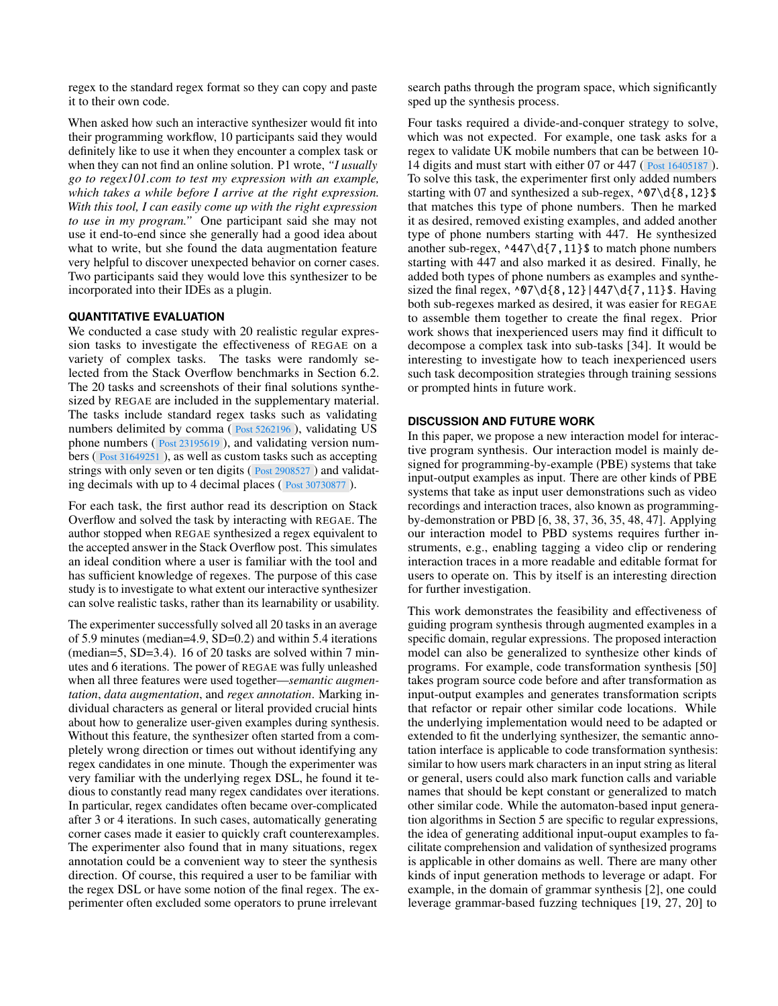regex to the standard regex format so they can copy and paste it to their own code.

When asked how such an interactive synthesizer would fit into their programming workflow, 10 participants said they would definitely like to use it when they encounter a complex task or when they can not find an online solution. P1 wrote, *"I usually go to regex101.com to test my expression with an example, which takes a while before I arrive at the right expression. With this tool, I can easily come up with the right expression to use in my program."* One participant said she may not use it end-to-end since she generally had a good idea about what to write, but she found the data augmentation feature very helpful to discover unexpected behavior on corner cases. Two participants said they would love this synthesizer to be incorporated into their IDEs as a plugin.

### <span id="page-10-0"></span>**QUANTITATIVE EVALUATION**

We conducted a case study with 20 realistic regular expression tasks to investigate the effectiveness of REGAE on a variety of complex tasks. The tasks were randomly selected from the Stack Overflow benchmarks in Section [6.2.](#page-8-0) The 20 tasks and screenshots of their final solutions synthesized by REGAE are included in the supplementary material. The tasks include standard regex tasks such as validating numbers delimited by comma ( $\frac{Post}{5262196}$ ), validating US phone numbers ( [Post 23195619](https://stackoverflow.com/questions/23195619) ), and validating version numbers ( [Post 31649251](https://stackoverflow.com/questions/31649251) ), as well as custom tasks such as accepting strings with only seven or ten digits ( [Post 2908527](https://stackoverflow.com/questions/2908527) ) and validating decimals with up to 4 decimal places ( [Post 30730877](https://stackoverflow.com/questions/30730877) ).

For each task, the first author read its description on Stack Overflow and solved the task by interacting with REGAE. The author stopped when REGAE synthesized a regex equivalent to the accepted answer in the Stack Overflow post. This simulates an ideal condition where a user is familiar with the tool and has sufficient knowledge of regexes. The purpose of this case study is to investigate to what extent our interactive synthesizer can solve realistic tasks, rather than its learnability or usability.

The experimenter successfully solved all 20 tasks in an average of 5.9 minutes (median=4.9, SD=0.2) and within 5.4 iterations (median=5, SD=3.4). 16 of 20 tasks are solved within 7 minutes and 6 iterations. The power of REGAE was fully unleashed when all three features were used together—*semantic augmentation*, *data augmentation*, and *regex annotation*. Marking individual characters as general or literal provided crucial hints about how to generalize user-given examples during synthesis. Without this feature, the synthesizer often started from a completely wrong direction or times out without identifying any regex candidates in one minute. Though the experimenter was very familiar with the underlying regex DSL, he found it tedious to constantly read many regex candidates over iterations. In particular, regex candidates often became over-complicated after 3 or 4 iterations. In such cases, automatically generating corner cases made it easier to quickly craft counterexamples. The experimenter also found that in many situations, regex annotation could be a convenient way to steer the synthesis direction. Of course, this required a user to be familiar with the regex DSL or have some notion of the final regex. The experimenter often excluded some operators to prune irrelevant

search paths through the program space, which significantly sped up the synthesis process.

Four tasks required a divide-and-conquer strategy to solve, which was not expected. For example, one task asks for a regex to validate UK mobile numbers that can be between 10- 14 digits and must start with either 07 or 447 ( [Post 16405187](https://stackoverflow.com/questions/16405187) ). To solve this task, the experimenter first only added numbers starting with 07 and synthesized a sub-regex,  $\sqrt{07}d\{8,12\}$ that matches this type of phone numbers. Then he marked it as desired, removed existing examples, and added another type of phone numbers starting with 447. He synthesized another sub-regex,  $\triangle 447\ddot{\{7},11\}$ \$ to match phone numbers starting with 447 and also marked it as desired. Finally, he added both types of phone numbers as examples and synthesized the final regex,  $\07\d{8,12} |447\d{7,11}$ \$. Having both sub-regexes marked as desired, it was easier for REGAE to assemble them together to create the final regex. Prior work shows that inexperienced users may find it difficult to decompose a complex task into sub-tasks [\[34\]](#page-12-8). It would be interesting to investigate how to teach inexperienced users such task decomposition strategies through training sessions or prompted hints in future work.

### **DISCUSSION AND FUTURE WORK**

In this paper, we propose a new interaction model for interactive program synthesis. Our interaction model is mainly designed for programming-by-example (PBE) systems that take input-output examples as input. There are other kinds of PBE systems that take as input user demonstrations such as video recordings and interaction traces, also known as programmingby-demonstration or PBD [\[6,](#page-11-0) [38,](#page-12-6) [37,](#page-12-19) [36,](#page-12-5) [35,](#page-12-2) [48,](#page-13-22) [47\]](#page-13-2). Applying our interaction model to PBD systems requires further instruments, e.g., enabling tagging a video clip or rendering interaction traces in a more readable and editable format for users to operate on. This by itself is an interesting direction for further investigation.

This work demonstrates the feasibility and effectiveness of guiding program synthesis through augmented examples in a specific domain, regular expressions. The proposed interaction model can also be generalized to synthesize other kinds of programs. For example, code transformation synthesis [\[50\]](#page-13-0) takes program source code before and after transformation as input-output examples and generates transformation scripts that refactor or repair other similar code locations. While the underlying implementation would need to be adapted or extended to fit the underlying synthesizer, the semantic annotation interface is applicable to code transformation synthesis: similar to how users mark characters in an input string as literal or general, users could also mark function calls and variable names that should be kept constant or generalized to match other similar code. While the automaton-based input generation algorithms in Section [5](#page-5-2) are specific to regular expressions, the idea of generating additional input-ouput examples to facilitate comprehension and validation of synthesized programs is applicable in other domains as well. There are many other kinds of input generation methods to leverage or adapt. For example, in the domain of grammar synthesis [\[2\]](#page-11-6), one could leverage grammar-based fuzzing techniques [\[19,](#page-12-20) [27,](#page-12-21) [20\]](#page-12-22) to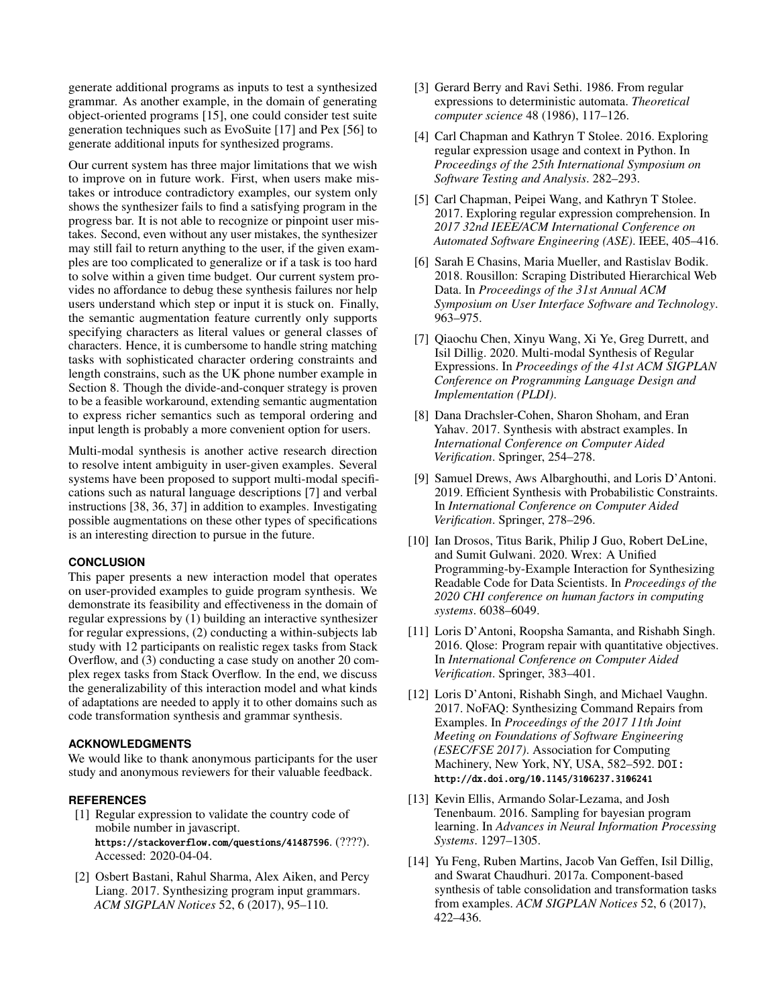generate additional programs as inputs to test a synthesized grammar. As another example, in the domain of generating object-oriented programs [\[15\]](#page-12-0), one could consider test suite generation techniques such as EvoSuite [\[17\]](#page-12-23) and Pex [\[56\]](#page-13-23) to generate additional inputs for synthesized programs.

Our current system has three major limitations that we wish to improve on in future work. First, when users make mistakes or introduce contradictory examples, our system only shows the synthesizer fails to find a satisfying program in the progress bar. It is not able to recognize or pinpoint user mistakes. Second, even without any user mistakes, the synthesizer may still fail to return anything to the user, if the given examples are too complicated to generalize or if a task is too hard to solve within a given time budget. Our current system provides no affordance to debug these synthesis failures nor help users understand which step or input it is stuck on. Finally, the semantic augmentation feature currently only supports specifying characters as literal values or general classes of characters. Hence, it is cumbersome to handle string matching tasks with sophisticated character ordering constraints and length constrains, such as the UK phone number example in Section [8.](#page-10-0) Though the divide-and-conquer strategy is proven to be a feasible workaround, extending semantic augmentation to express richer semantics such as temporal ordering and input length is probably a more convenient option for users.

Multi-modal synthesis is another active research direction to resolve intent ambiguity in user-given examples. Several systems have been proposed to support multi-modal specifications such as natural language descriptions [\[7\]](#page-11-11) and verbal instructions [\[38,](#page-12-6) [36,](#page-12-5) [37\]](#page-12-19) in addition to examples. Investigating possible augmentations on these other types of specifications is an interesting direction to pursue in the future.

# **CONCLUSION**

This paper presents a new interaction model that operates on user-provided examples to guide program synthesis. We demonstrate its feasibility and effectiveness in the domain of regular expressions by (1) building an interactive synthesizer for regular expressions, (2) conducting a within-subjects lab study with 12 participants on realistic regex tasks from Stack Overflow, and (3) conducting a case study on another 20 complex regex tasks from Stack Overflow. In the end, we discuss the generalizability of this interaction model and what kinds of adaptations are needed to apply it to other domains such as code transformation synthesis and grammar synthesis.

# **ACKNOWLEDGMENTS**

We would like to thank anonymous participants for the user study and anonymous reviewers for their valuable feedback.

# <span id="page-11-12"></span>**REFERENCES**

- [1] Regular expression to validate the country code of mobile number in javascript. <https://stackoverflow.com/questions/41487596>. (????). Accessed: 2020-04-04.
- <span id="page-11-6"></span>[2] Osbert Bastani, Rahul Sharma, Alex Aiken, and Percy Liang. 2017. Synthesizing program input grammars. *ACM SIGPLAN Notices* 52, 6 (2017), 95–110.
- <span id="page-11-13"></span>[3] Gerard Berry and Ravi Sethi. 1986. From regular expressions to deterministic automata. *Theoretical computer science* 48 (1986), 117–126.
- <span id="page-11-3"></span>[4] Carl Chapman and Kathryn T Stolee. 2016. Exploring regular expression usage and context in Python. In *Proceedings of the 25th International Symposium on Software Testing and Analysis*. 282–293.
- <span id="page-11-2"></span>[5] Carl Chapman, Peipei Wang, and Kathryn T Stolee. 2017. Exploring regular expression comprehension. In *2017 32nd IEEE/ACM International Conference on Automated Software Engineering (ASE)*. IEEE, 405–416.
- <span id="page-11-0"></span>[6] Sarah E Chasins, Maria Mueller, and Rastislav Bodik. 2018. Rousillon: Scraping Distributed Hierarchical Web Data. In *Proceedings of the 31st Annual ACM Symposium on User Interface Software and Technology*. 963–975.
- <span id="page-11-11"></span>[7] Qiaochu Chen, Xinyu Wang, Xi Ye, Greg Durrett, and Isil Dillig. 2020. Multi-modal Synthesis of Regular Expressions. In *Proceedings of the 41st ACM SIGPLAN Conference on Programming Language Design and Implementation (PLDI)*.
- <span id="page-11-10"></span>[8] Dana Drachsler-Cohen, Sharon Shoham, and Eran Yahav. 2017. Synthesis with abstract examples. In *International Conference on Computer Aided Verification*. Springer, 254–278.
- <span id="page-11-9"></span>[9] Samuel Drews, Aws Albarghouthi, and Loris D'Antoni. 2019. Efficient Synthesis with Probabilistic Constraints. In *International Conference on Computer Aided Verification*. Springer, 278–296.
- <span id="page-11-1"></span>[10] Ian Drosos, Titus Barik, Philip J Guo, Robert DeLine, and Sumit Gulwani. 2020. Wrex: A Unified Programming-by-Example Interaction for Synthesizing Readable Code for Data Scientists. In *Proceedings of the 2020 CHI conference on human factors in computing systems*. 6038–6049.
- <span id="page-11-7"></span>[11] Loris D'Antoni, Roopsha Samanta, and Rishabh Singh. 2016. Qlose: Program repair with quantitative objectives. In *International Conference on Computer Aided Verification*. Springer, 383–401.
- <span id="page-11-5"></span>[12] Loris D'Antoni, Rishabh Singh, and Michael Vaughn. 2017. NoFAQ: Synthesizing Command Repairs from Examples. In *Proceedings of the 2017 11th Joint Meeting on Foundations of Software Engineering (ESEC/FSE 2017)*. Association for Computing Machinery, New York, NY, USA, 582–592. DOI: <http://dx.doi.org/10.1145/3106237.3106241>
- <span id="page-11-8"></span>[13] Kevin Ellis, Armando Solar-Lezama, and Josh Tenenbaum. 2016. Sampling for bayesian program learning. In *Advances in Neural Information Processing Systems*. 1297–1305.
- <span id="page-11-4"></span>[14] Yu Feng, Ruben Martins, Jacob Van Geffen, Isil Dillig, and Swarat Chaudhuri. 2017a. Component-based synthesis of table consolidation and transformation tasks from examples. *ACM SIGPLAN Notices* 52, 6 (2017), 422–436.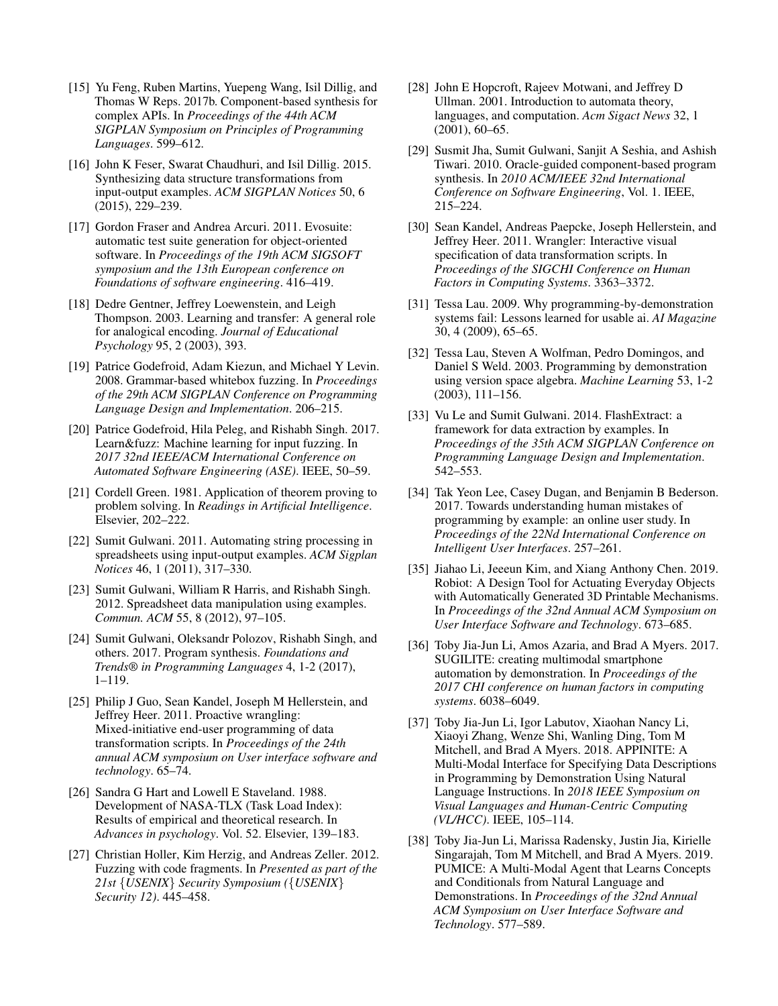- <span id="page-12-0"></span>[15] Yu Feng, Ruben Martins, Yuepeng Wang, Isil Dillig, and Thomas W Reps. 2017b. Component-based synthesis for complex APIs. In *Proceedings of the 44th ACM SIGPLAN Symposium on Principles of Programming Languages*. 599–612.
- <span id="page-12-15"></span>[16] John K Feser, Swarat Chaudhuri, and Isil Dillig. 2015. Synthesizing data structure transformations from input-output examples. *ACM SIGPLAN Notices* 50, 6 (2015), 229–239.
- <span id="page-12-23"></span>[17] Gordon Fraser and Andrea Arcuri. 2011. Evosuite: automatic test suite generation for object-oriented software. In *Proceedings of the 19th ACM SIGSOFT symposium and the 13th European conference on Foundations of software engineering*. 416–419.
- <span id="page-12-16"></span>[18] Dedre Gentner, Jeffrey Loewenstein, and Leigh Thompson. 2003. Learning and transfer: A general role for analogical encoding. *Journal of Educational Psychology* 95, 2 (2003), 393.
- <span id="page-12-20"></span>[19] Patrice Godefroid, Adam Kiezun, and Michael Y Levin. 2008. Grammar-based whitebox fuzzing. In *Proceedings of the 29th ACM SIGPLAN Conference on Programming Language Design and Implementation*. 206–215.
- <span id="page-12-22"></span>[20] Patrice Godefroid, Hila Peleg, and Rishabh Singh. 2017. Learn&fuzz: Machine learning for input fuzzing. In *2017 32nd IEEE/ACM International Conference on Automated Software Engineering (ASE)*. IEEE, 50–59.
- <span id="page-12-10"></span>[21] Cordell Green. 1981. Application of theorem proving to problem solving. In *Readings in Artificial Intelligence*. Elsevier, 202–222.
- <span id="page-12-4"></span>[22] Sumit Gulwani. 2011. Automating string processing in spreadsheets using input-output examples. *ACM Sigplan Notices* 46, 1 (2011), 317–330.
- <span id="page-12-13"></span>[23] Sumit Gulwani, William R Harris, and Rishabh Singh. 2012. Spreadsheet data manipulation using examples. *Commun. ACM* 55, 8 (2012), 97–105.
- <span id="page-12-11"></span>[24] Sumit Gulwani, Oleksandr Polozov, Rishabh Singh, and others. 2017. Program synthesis. *Foundations and Trends® in Programming Languages* 4, 1-2 (2017), 1–119.
- <span id="page-12-14"></span>[25] Philip J Guo, Sean Kandel, Joseph M Hellerstein, and Jeffrey Heer. 2011. Proactive wrangling: Mixed-initiative end-user programming of data transformation scripts. In *Proceedings of the 24th annual ACM symposium on User interface software and technology*. 65–74.
- <span id="page-12-18"></span>[26] Sandra G Hart and Lowell E Staveland. 1988. Development of NASA-TLX (Task Load Index): Results of empirical and theoretical research. In *Advances in psychology*. Vol. 52. Elsevier, 139–183.
- <span id="page-12-21"></span>[27] Christian Holler, Kim Herzig, and Andreas Zeller. 2012. Fuzzing with code fragments. In *Presented as part of the 21st* {*USENIX*} *Security Symposium (*{*USENIX*} *Security 12)*. 445–458.
- <span id="page-12-17"></span>[28] John E Hopcroft, Rajeev Motwani, and Jeffrey D Ullman. 2001. Introduction to automata theory, languages, and computation. *Acm Sigact News* 32, 1 (2001), 60–65.
- <span id="page-12-1"></span>[29] Susmit Jha, Sumit Gulwani, Sanjit A Seshia, and Ashish Tiwari. 2010. Oracle-guided component-based program synthesis. In *2010 ACM/IEEE 32nd International Conference on Software Engineering*, Vol. 1. IEEE, 215–224.
- <span id="page-12-9"></span>[30] Sean Kandel, Andreas Paepcke, Joseph Hellerstein, and Jeffrey Heer. 2011. Wrangler: Interactive visual specification of data transformation scripts. In *Proceedings of the SIGCHI Conference on Human Factors in Computing Systems*. 3363–3372.
- <span id="page-12-7"></span>[31] Tessa Lau. 2009. Why programming-by-demonstration systems fail: Lessons learned for usable ai. *AI Magazine* 30, 4 (2009), 65–65.
- <span id="page-12-3"></span>[32] Tessa Lau, Steven A Wolfman, Pedro Domingos, and Daniel S Weld. 2003. Programming by demonstration using version space algebra. *Machine Learning* 53, 1-2 (2003), 111–156.
- <span id="page-12-12"></span>[33] Vu Le and Sumit Gulwani. 2014. FlashExtract: a framework for data extraction by examples. In *Proceedings of the 35th ACM SIGPLAN Conference on Programming Language Design and Implementation*. 542–553.
- <span id="page-12-8"></span>[34] Tak Yeon Lee, Casey Dugan, and Benjamin B Bederson. 2017. Towards understanding human mistakes of programming by example: an online user study. In *Proceedings of the 22Nd International Conference on Intelligent User Interfaces*. 257–261.
- <span id="page-12-2"></span>[35] Jiahao Li, Jeeeun Kim, and Xiang Anthony Chen. 2019. Robiot: A Design Tool for Actuating Everyday Objects with Automatically Generated 3D Printable Mechanisms. In *Proceedings of the 32nd Annual ACM Symposium on User Interface Software and Technology*. 673–685.
- <span id="page-12-5"></span>[36] Toby Jia-Jun Li, Amos Azaria, and Brad A Myers. 2017. SUGILITE: creating multimodal smartphone automation by demonstration. In *Proceedings of the 2017 CHI conference on human factors in computing systems*. 6038–6049.
- <span id="page-12-19"></span>[37] Toby Jia-Jun Li, Igor Labutov, Xiaohan Nancy Li, Xiaoyi Zhang, Wenze Shi, Wanling Ding, Tom M Mitchell, and Brad A Myers. 2018. APPINITE: A Multi-Modal Interface for Specifying Data Descriptions in Programming by Demonstration Using Natural Language Instructions. In *2018 IEEE Symposium on Visual Languages and Human-Centric Computing (VL/HCC)*. IEEE, 105–114.
- <span id="page-12-6"></span>[38] Toby Jia-Jun Li, Marissa Radensky, Justin Jia, Kirielle Singarajah, Tom M Mitchell, and Brad A Myers. 2019. PUMICE: A Multi-Modal Agent that Learns Concepts and Conditionals from Natural Language and Demonstrations. In *Proceedings of the 32nd Annual ACM Symposium on User Interface Software and Technology*. 577–589.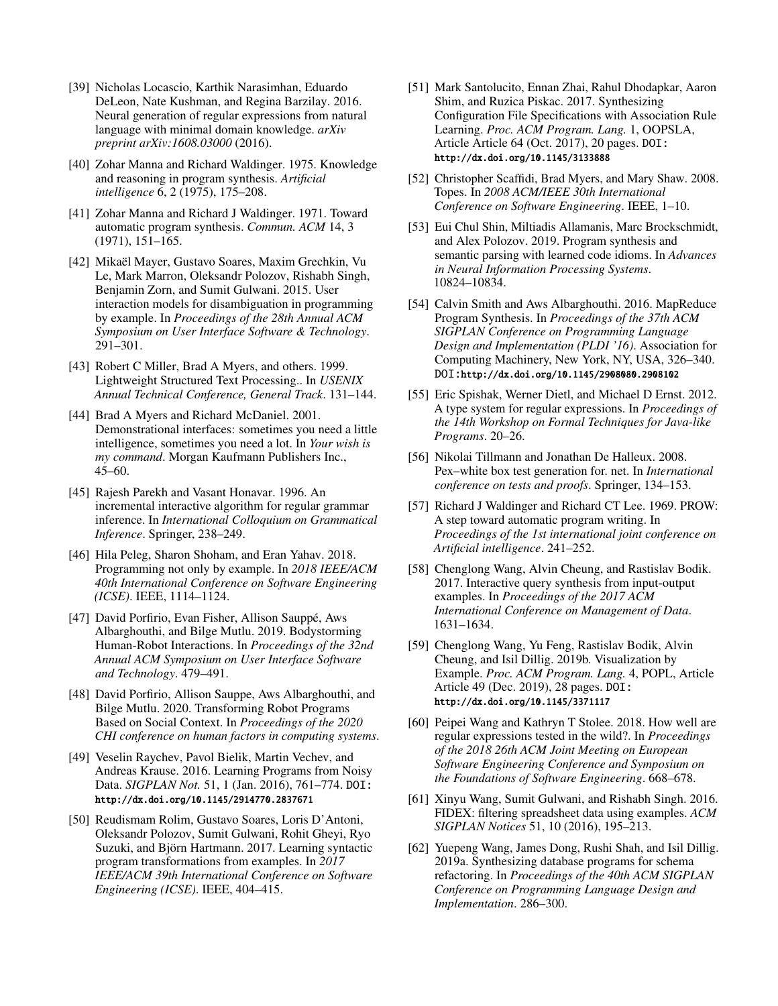- <span id="page-13-20"></span>[39] Nicholas Locascio, Karthik Narasimhan, Eduardo DeLeon, Nate Kushman, and Regina Barzilay. 2016. Neural generation of regular expressions from natural language with minimal domain knowledge. *arXiv preprint arXiv:1608.03000* (2016).
- <span id="page-13-8"></span>[40] Zohar Manna and Richard Waldinger. 1975. Knowledge and reasoning in program synthesis. *Artificial intelligence* 6, 2 (1975), 175–208.
- <span id="page-13-7"></span>[41] Zohar Manna and Richard J Waldinger. 1971. Toward automatic program synthesis. *Commun. ACM* 14, 3 (1971), 151–165.
- <span id="page-13-4"></span>[42] Mikaël Mayer, Gustavo Soares, Maxim Grechkin, Vu Le, Mark Marron, Oleksandr Polozov, Rishabh Singh, Benjamin Zorn, and Sumit Gulwani. 2015. User interaction models for disambiguation in programming by example. In *Proceedings of the 28th Annual ACM Symposium on User Interface Software & Technology*. 291–301.
- <span id="page-13-17"></span>[43] Robert C Miller, Brad A Myers, and others. 1999. Lightweight Structured Text Processing.. In *USENIX Annual Technical Conference, General Track*. 131–144.
- <span id="page-13-3"></span>[44] Brad A Myers and Richard McDaniel. 2001. Demonstrational interfaces: sometimes you need a little intelligence, sometimes you need a lot. In *Your wish is my command*. Morgan Kaufmann Publishers Inc., 45–60.
- <span id="page-13-19"></span>[45] Rajesh Parekh and Vasant Honavar. 1996. An incremental interactive algorithm for regular grammar inference. In *International Colloquium on Grammatical Inference*. Springer, 238–249.
- <span id="page-13-5"></span>[46] Hila Peleg, Sharon Shoham, and Eran Yahav. 2018. Programming not only by example. In *2018 IEEE/ACM 40th International Conference on Software Engineering (ICSE)*. IEEE, 1114–1124.
- <span id="page-13-2"></span>[47] David Porfirio, Evan Fisher, Allison Sauppé, Aws Albarghouthi, and Bilge Mutlu. 2019. Bodystorming Human-Robot Interactions. In *Proceedings of the 32nd Annual ACM Symposium on User Interface Software and Technology*. 479–491.
- <span id="page-13-22"></span>[48] David Porfirio, Allison Sauppe, Aws Albarghouthi, and Bilge Mutlu. 2020. Transforming Robot Programs Based on Social Context. In *Proceedings of the 2020 CHI conference on human factors in computing systems*.
- <span id="page-13-14"></span>[49] Veselin Raychev, Pavol Bielik, Martin Vechev, and Andreas Krause. 2016. Learning Programs from Noisy Data. *SIGPLAN Not.* 51, 1 (Jan. 2016), 761–774. DOI: <http://dx.doi.org/10.1145/2914770.2837671>
- <span id="page-13-0"></span>[50] Reudismam Rolim, Gustavo Soares, Loris D'Antoni, Oleksandr Polozov, Sumit Gulwani, Rohit Gheyi, Ryo Suzuki, and Björn Hartmann. 2017. Learning syntactic program transformations from examples. In *2017 IEEE/ACM 39th International Conference on Software Engineering (ICSE)*. IEEE, 404–415.
- <span id="page-13-13"></span>[51] Mark Santolucito, Ennan Zhai, Rahul Dhodapkar, Aaron Shim, and Ruzica Piskac. 2017. Synthesizing Configuration File Specifications with Association Rule Learning. *Proc. ACM Program. Lang.* 1, OOPSLA, Article Article 64 (Oct. 2017), 20 pages. DOI: <http://dx.doi.org/10.1145/3133888>
- <span id="page-13-18"></span>[52] Christopher Scaffidi, Brad Myers, and Mary Shaw. 2008. Topes. In *2008 ACM/IEEE 30th International Conference on Software Engineering*. IEEE, 1–10.
- <span id="page-13-15"></span>[53] Eui Chul Shin, Miltiadis Allamanis, Marc Brockschmidt, and Alex Polozov. 2019. Program synthesis and semantic parsing with learned code idioms. In *Advances in Neural Information Processing Systems*. 10824–10834.
- <span id="page-13-12"></span>[54] Calvin Smith and Aws Albarghouthi. 2016. MapReduce Program Synthesis. In *Proceedings of the 37th ACM SIGPLAN Conference on Programming Language Design and Implementation (PLDI '16)*. Association for Computing Machinery, New York, NY, USA, 326–340. DOI:<http://dx.doi.org/10.1145/2908080.2908102>
- <span id="page-13-6"></span>[55] Eric Spishak, Werner Dietl, and Michael D Ernst. 2012. A type system for regular expressions. In *Proceedings of the 14th Workshop on Formal Techniques for Java-like Programs*. 20–26.
- <span id="page-13-23"></span>[56] Nikolai Tillmann and Jonathan De Halleux. 2008. Pex–white box test generation for. net. In *International conference on tests and proofs*. Springer, 134–153.
- <span id="page-13-9"></span>[57] Richard J Waldinger and Richard CT Lee. 1969. PROW: A step toward automatic program writing. In *Proceedings of the 1st international joint conference on Artificial intelligence*. 241–252.
- <span id="page-13-16"></span>[58] Chenglong Wang, Alvin Cheung, and Rastislav Bodik. 2017. Interactive query synthesis from input-output examples. In *Proceedings of the 2017 ACM International Conference on Management of Data*. 1631–1634.
- <span id="page-13-11"></span>[59] Chenglong Wang, Yu Feng, Rastislav Bodik, Alvin Cheung, and Isil Dillig. 2019b. Visualization by Example. *Proc. ACM Program. Lang.* 4, POPL, Article Article 49 (Dec. 2019), 28 pages. DOI: <http://dx.doi.org/10.1145/3371117>
- <span id="page-13-21"></span>[60] Peipei Wang and Kathryn T Stolee. 2018. How well are regular expressions tested in the wild?. In *Proceedings of the 2018 26th ACM Joint Meeting on European Software Engineering Conference and Symposium on the Foundations of Software Engineering*. 668–678.
- <span id="page-13-10"></span>[61] Xinyu Wang, Sumit Gulwani, and Rishabh Singh. 2016. FIDEX: filtering spreadsheet data using examples. *ACM SIGPLAN Notices* 51, 10 (2016), 195–213.
- <span id="page-13-1"></span>[62] Yuepeng Wang, James Dong, Rushi Shah, and Isil Dillig. 2019a. Synthesizing database programs for schema refactoring. In *Proceedings of the 40th ACM SIGPLAN Conference on Programming Language Design and Implementation*. 286–300.